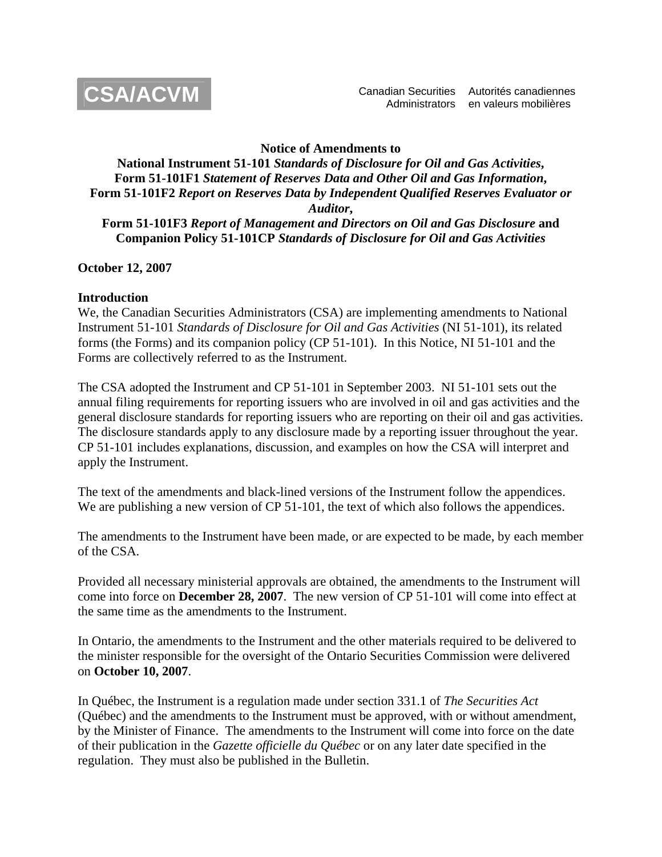

#### **Notice of Amendments to**

### **National Instrument 51-101** *Standards of Disclosure for Oil and Gas Activities***, Form 51-101F1** *Statement of Reserves Data and Other Oil and Gas Information***, Form 51-101F2** *Report on Reserves Data by Independent Qualified Reserves Evaluator or Auditor***, Form 51-101F3** *Report of Management and Directors on Oil and Gas Disclosure* **and Companion Policy 51-101CP** *Standards of Disclosure for Oil and Gas Activities*

### **October 12, 2007**

#### **Introduction**

We, the Canadian Securities Administrators (CSA) are implementing amendments to National Instrument 51-101 *Standards of Disclosure for Oil and Gas Activities* (NI 51-101), its related forms (the Forms) and its companion policy (CP 51-101). In this Notice, NI 51-101 and the Forms are collectively referred to as the Instrument.

The CSA adopted the Instrument and CP 51-101 in September 2003. NI 51-101 sets out the annual filing requirements for reporting issuers who are involved in oil and gas activities and the general disclosure standards for reporting issuers who are reporting on their oil and gas activities. The disclosure standards apply to any disclosure made by a reporting issuer throughout the year. CP 51-101 includes explanations, discussion, and examples on how the CSA will interpret and apply the Instrument.

The text of the amendments and black-lined versions of the Instrument follow the appendices. We are publishing a new version of CP 51-101, the text of which also follows the appendices.

The amendments to the Instrument have been made, or are expected to be made, by each member of the CSA.

Provided all necessary ministerial approvals are obtained, the amendments to the Instrument will come into force on **December 28, 2007**. The new version of CP 51-101 will come into effect at the same time as the amendments to the Instrument.

In Ontario, the amendments to the Instrument and the other materials required to be delivered to the minister responsible for the oversight of the Ontario Securities Commission were delivered on **October 10, 2007**.

In Québec, the Instrument is a regulation made under section 331.1 of *The Securities Act*  (Québec) and the amendments to the Instrument must be approved, with or without amendment, by the Minister of Finance. The amendments to the Instrument will come into force on the date of their publication in the *Gazette officielle du Québec* or on any later date specified in the regulation. They must also be published in the Bulletin.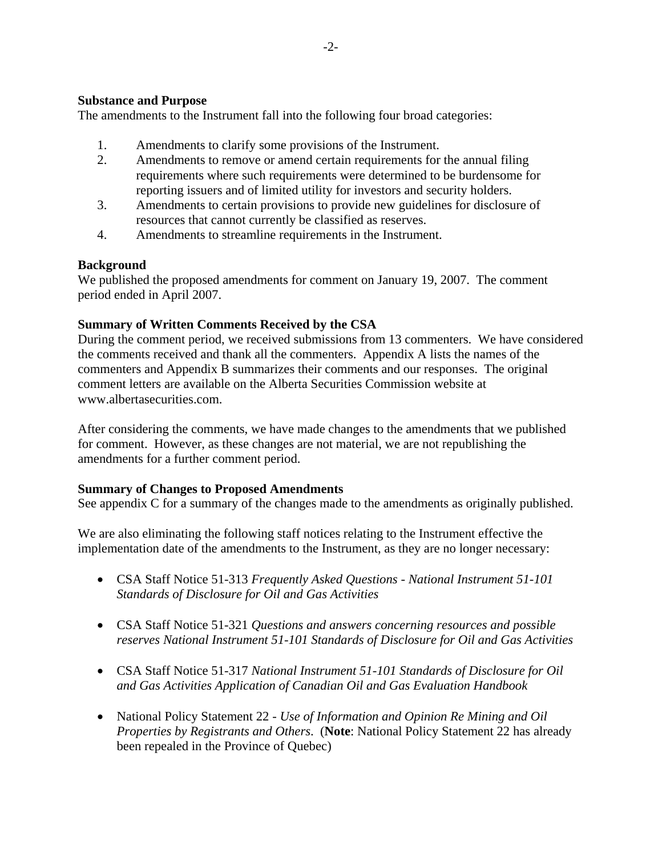### **Substance and Purpose**

The amendments to the Instrument fall into the following four broad categories:

- 1. Amendments to clarify some provisions of the Instrument.
- 2. Amendments to remove or amend certain requirements for the annual filing requirements where such requirements were determined to be burdensome for reporting issuers and of limited utility for investors and security holders.
- 3. Amendments to certain provisions to provide new guidelines for disclosure of resources that cannot currently be classified as reserves.
- 4. Amendments to streamline requirements in the Instrument.

### **Background**

We published the proposed amendments for comment on January 19, 2007. The comment period ended in April 2007.

### **Summary of Written Comments Received by the CSA**

During the comment period, we received submissions from 13 commenters. We have considered the comments received and thank all the commenters. Appendix A lists the names of the commenters and Appendix B summarizes their comments and our responses. The original comment letters are available on the Alberta Securities Commission website at www.albertasecurities.com.

After considering the comments, we have made changes to the amendments that we published for comment. However, as these changes are not material, we are not republishing the amendments for a further comment period.

### **Summary of Changes to Proposed Amendments**

See appendix C for a summary of the changes made to the amendments as originally published.

We are also eliminating the following staff notices relating to the Instrument effective the implementation date of the amendments to the Instrument, as they are no longer necessary:

- CSA Staff Notice 51-313 *Frequently Asked Questions National Instrument 51-101 Standards of Disclosure for Oil and Gas Activities*
- CSA Staff Notice 51-321 *Questions and answers concerning resources and possible reserves National Instrument 51-101 Standards of Disclosure for Oil and Gas Activities*
- CSA Staff Notice 51-317 *National Instrument 51-101 Standards of Disclosure for Oil and Gas Activities Application of Canadian Oil and Gas Evaluation Handbook*
- National Policy Statement 22 *Use of Information and Opinion Re Mining and Oil Properties by Registrants and Others*. (**Note**: National Policy Statement 22 has already been repealed in the Province of Quebec)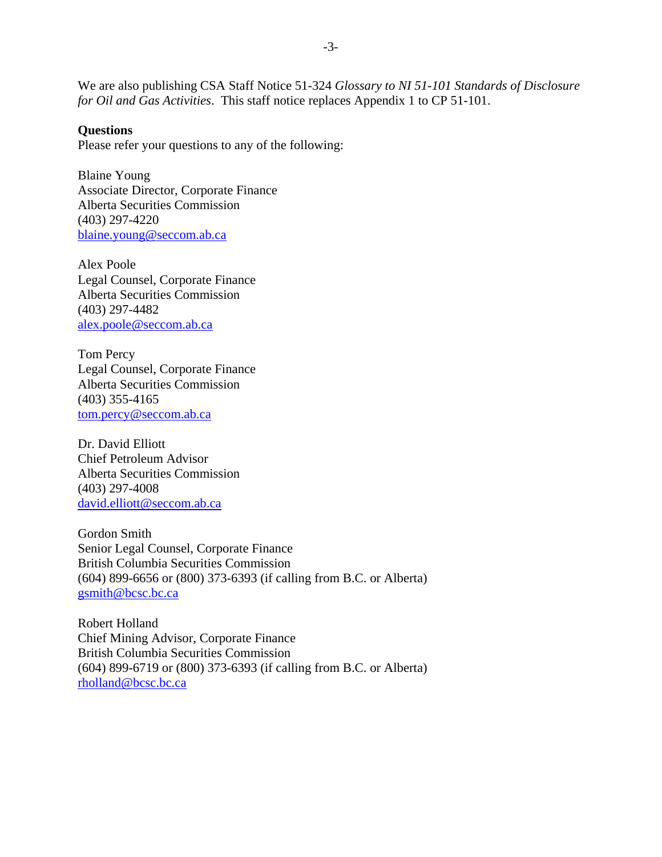We are also publishing CSA Staff Notice 51-324 *Glossary to NI 51-101 Standards of Disclosure for Oil and Gas Activities*. This staff notice replaces Appendix 1 to CP 51-101.

#### **Questions**

Please refer your questions to any of the following:

Blaine Young Associate Director, Corporate Finance Alberta Securities Commission (403) 297-4220 blaine.young@seccom.ab.ca

Alex Poole Legal Counsel, Corporate Finance Alberta Securities Commission (403) 297-4482 [alex.poole@seccom.ab.ca](mailto:patricia.leeson@seccom.ab.ca)

Tom Percy Legal Counsel, Corporate Finance Alberta Securities Commission (403) 355-4165 [tom.percy@seccom.ab.ca](mailto:patricia.leeson@seccom.ab.ca)

Dr. David Elliott Chief Petroleum Advisor Alberta Securities Commission (403) 297-4008 david.elliott@seccom.ab.ca

Gordon Smith Senior Legal Counsel, Corporate Finance British Columbia Securities Commission (604) 899-6656 or (800) 373-6393 (if calling from B.C. or Alberta) gsmith@bcsc.bc.ca

Robert Holland Chief Mining Advisor, Corporate Finance British Columbia Securities Commission (604) 899-6719 or (800) 373-6393 (if calling from B.C. or Alberta) rholland@bcsc.bc.ca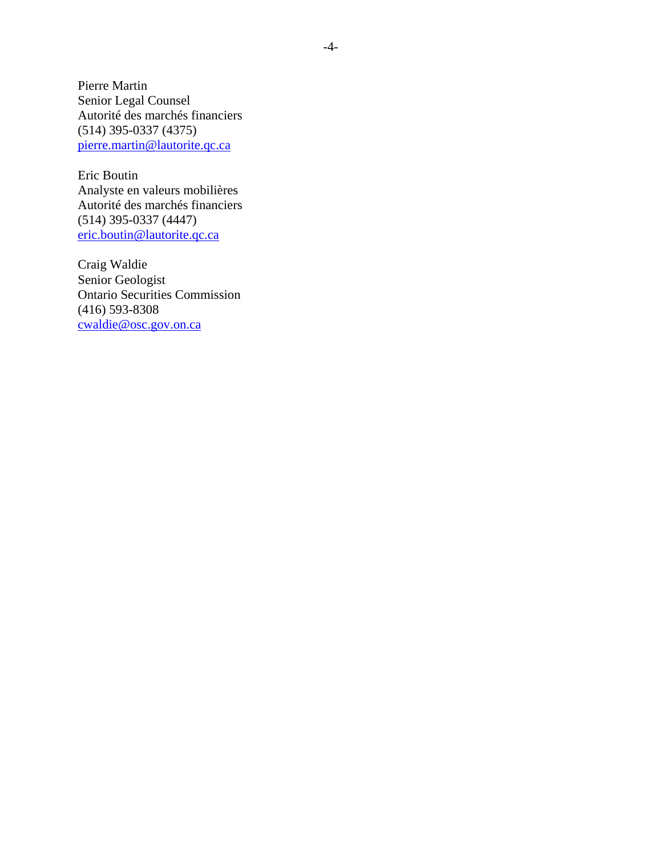Pierre Martin Senior Legal Counsel Autorité des marchés financiers (514) 395-0337 (4375) pierre.martin@lautorite.qc.ca

Eric Boutin Analyste en valeurs mobilières Autorité des marchés financiers (514) 395-0337 (4447) eric.boutin@lautorite.qc.ca

Craig Waldie Senior Geologist Ontario Securities Commission (416) 593-8308 cwaldie@osc.gov.on.ca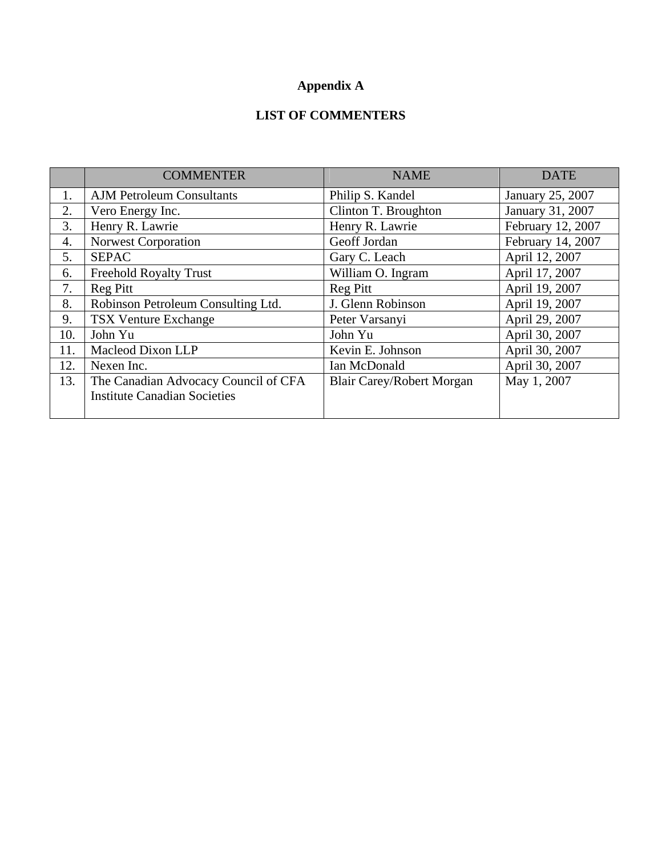# **Appendix A**

## **LIST OF COMMENTERS**

|     | <b>COMMENTER</b>                                                            | <b>NAME</b>                      | <b>DATE</b>       |
|-----|-----------------------------------------------------------------------------|----------------------------------|-------------------|
| 1.  | <b>AJM Petroleum Consultants</b>                                            | Philip S. Kandel                 | January 25, 2007  |
| 2.  | Vero Energy Inc.                                                            | Clinton T. Broughton             | January 31, 2007  |
| 3.  | Henry R. Lawrie                                                             | Henry R. Lawrie                  | February 12, 2007 |
| 4.  | <b>Norwest Corporation</b>                                                  | Geoff Jordan                     | February 14, 2007 |
| 5.  | <b>SEPAC</b>                                                                | Gary C. Leach                    | April 12, 2007    |
| 6.  | <b>Freehold Royalty Trust</b>                                               | William O. Ingram                | April 17, 2007    |
| 7.  | Reg Pitt                                                                    | <b>Reg Pitt</b>                  | April 19, 2007    |
| 8.  | Robinson Petroleum Consulting Ltd.                                          | J. Glenn Robinson                | April 19, 2007    |
| 9.  | <b>TSX Venture Exchange</b>                                                 | Peter Varsanyi                   | April 29, 2007    |
| 10. | John Yu                                                                     | John Yu                          | April 30, 2007    |
| 11. | Macleod Dixon LLP                                                           | Kevin E. Johnson                 | April 30, 2007    |
| 12. | Nexen Inc.                                                                  | Ian McDonald                     | April 30, 2007    |
| 13. | The Canadian Advocacy Council of CFA<br><b>Institute Canadian Societies</b> | <b>Blair Carey/Robert Morgan</b> | May 1, 2007       |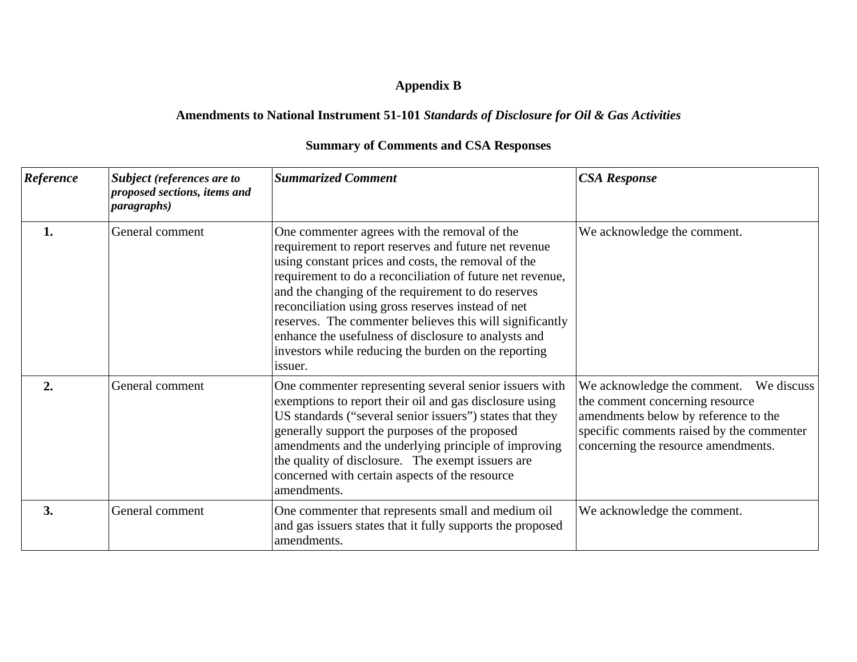# **Appendix B**

# **Amendments to National Instrument 51-101** *Standards of Disclosure for Oil & Gas Activities*

| <b>Reference</b> | Subject (references are to<br>proposed sections, items and<br><i>paragraphs</i> ) | <b>Summarized Comment</b>                                                                                                                                                                                                                                                                                                                                                                                                                                                                                                    | <b>CSA Response</b>                                                                                                                                                                                      |
|------------------|-----------------------------------------------------------------------------------|------------------------------------------------------------------------------------------------------------------------------------------------------------------------------------------------------------------------------------------------------------------------------------------------------------------------------------------------------------------------------------------------------------------------------------------------------------------------------------------------------------------------------|----------------------------------------------------------------------------------------------------------------------------------------------------------------------------------------------------------|
| 1.               | General comment                                                                   | One commenter agrees with the removal of the<br>requirement to report reserves and future net revenue<br>using constant prices and costs, the removal of the<br>requirement to do a reconciliation of future net revenue,<br>and the changing of the requirement to do reserves<br>reconciliation using gross reserves instead of net<br>reserves. The commenter believes this will significantly<br>enhance the usefulness of disclosure to analysts and<br>investors while reducing the burden on the reporting<br>issuer. | We acknowledge the comment.                                                                                                                                                                              |
| 2.               | General comment                                                                   | One commenter representing several senior issuers with<br>exemptions to report their oil and gas disclosure using<br>US standards ("several senior issuers") states that they<br>generally support the purposes of the proposed<br>amendments and the underlying principle of improving<br>the quality of disclosure. The exempt issuers are<br>concerned with certain aspects of the resource<br>amendments.                                                                                                                | We acknowledge the comment.<br>We discuss<br>the comment concerning resource<br>amendments below by reference to the<br>specific comments raised by the commenter<br>concerning the resource amendments. |
| 3.               | General comment                                                                   | One commenter that represents small and medium oil<br>and gas issuers states that it fully supports the proposed<br>amendments.                                                                                                                                                                                                                                                                                                                                                                                              | We acknowledge the comment.                                                                                                                                                                              |

# **Summary of Comments and CSA Responses**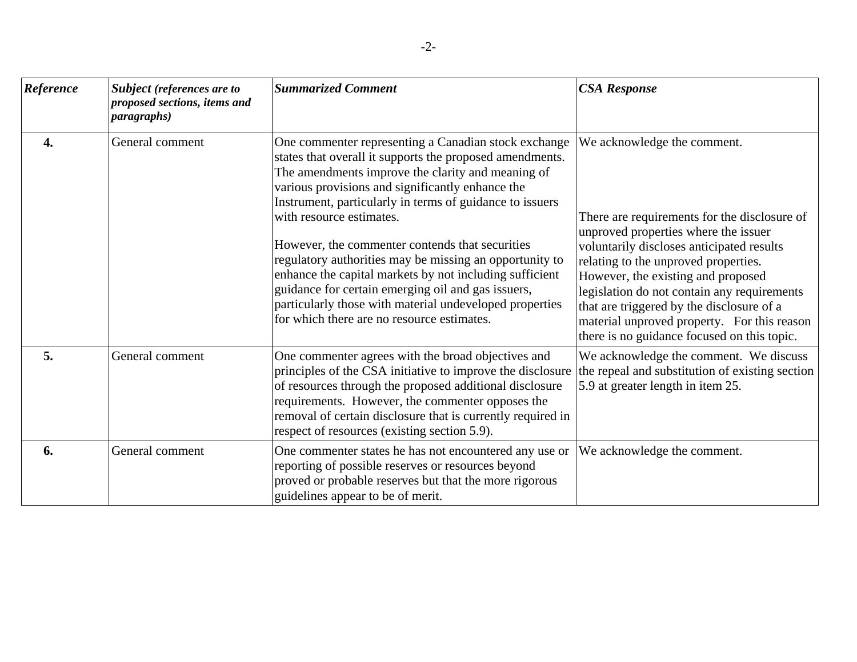| Reference        | Subject (references are to<br>proposed sections, items and<br><i>paragraphs</i> ) | <b>Summarized Comment</b>                                                                                                                                                                                                                                                                                                                                                                                                                                                                                                                                                                                                                                 | <b>CSA Response</b>                                                                                                                                                                                                                                                                                                                                                                                                                      |
|------------------|-----------------------------------------------------------------------------------|-----------------------------------------------------------------------------------------------------------------------------------------------------------------------------------------------------------------------------------------------------------------------------------------------------------------------------------------------------------------------------------------------------------------------------------------------------------------------------------------------------------------------------------------------------------------------------------------------------------------------------------------------------------|------------------------------------------------------------------------------------------------------------------------------------------------------------------------------------------------------------------------------------------------------------------------------------------------------------------------------------------------------------------------------------------------------------------------------------------|
| $\overline{4}$ . | General comment                                                                   | One commenter representing a Canadian stock exchange<br>states that overall it supports the proposed amendments.<br>The amendments improve the clarity and meaning of<br>various provisions and significantly enhance the<br>Instrument, particularly in terms of guidance to issuers<br>with resource estimates.<br>However, the commenter contends that securities<br>regulatory authorities may be missing an opportunity to<br>enhance the capital markets by not including sufficient<br>guidance for certain emerging oil and gas issuers,<br>particularly those with material undeveloped properties<br>for which there are no resource estimates. | We acknowledge the comment.<br>There are requirements for the disclosure of<br>unproved properties where the issuer<br>voluntarily discloses anticipated results<br>relating to the unproved properties.<br>However, the existing and proposed<br>legislation do not contain any requirements<br>that are triggered by the disclosure of a<br>material unproved property. For this reason<br>there is no guidance focused on this topic. |
| 5.               | General comment                                                                   | One commenter agrees with the broad objectives and<br>principles of the CSA initiative to improve the disclosure<br>of resources through the proposed additional disclosure<br>requirements. However, the commenter opposes the<br>removal of certain disclosure that is currently required in<br>respect of resources (existing section 5.9).                                                                                                                                                                                                                                                                                                            | We acknowledge the comment. We discuss<br>the repeal and substitution of existing section<br>5.9 at greater length in item 25.                                                                                                                                                                                                                                                                                                           |
| 6.               | General comment                                                                   | One commenter states he has not encountered any use or<br>reporting of possible reserves or resources beyond<br>proved or probable reserves but that the more rigorous<br>guidelines appear to be of merit.                                                                                                                                                                                                                                                                                                                                                                                                                                               | We acknowledge the comment.                                                                                                                                                                                                                                                                                                                                                                                                              |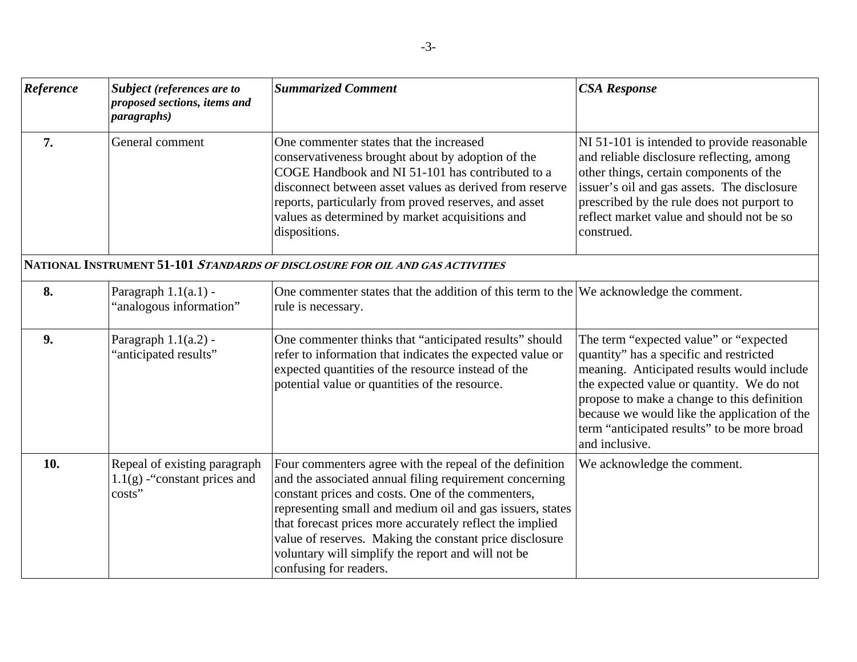| Reference | Subject (references are to<br>proposed sections, items and<br><i>paragraphs</i> ) | <b>Summarized Comment</b>                                                                                                                                                                                                                                                                                                                                                                                                                   | <b>CSA Response</b>                                                                                                                                                                                                                                                                                                                          |
|-----------|-----------------------------------------------------------------------------------|---------------------------------------------------------------------------------------------------------------------------------------------------------------------------------------------------------------------------------------------------------------------------------------------------------------------------------------------------------------------------------------------------------------------------------------------|----------------------------------------------------------------------------------------------------------------------------------------------------------------------------------------------------------------------------------------------------------------------------------------------------------------------------------------------|
| 7.        | General comment                                                                   | One commenter states that the increased<br>conservativeness brought about by adoption of the<br>COGE Handbook and NI 51-101 has contributed to a<br>disconnect between asset values as derived from reserve<br>reports, particularly from proved reserves, and asset<br>values as determined by market acquisitions and<br>dispositions.                                                                                                    | NI 51-101 is intended to provide reasonable<br>and reliable disclosure reflecting, among<br>other things, certain components of the<br>issuer's oil and gas assets. The disclosure<br>prescribed by the rule does not purport to<br>reflect market value and should not be so<br>construed.                                                  |
|           |                                                                                   | NATIONAL INSTRUMENT 51-101 STANDARDS OF DISCLOSURE FOR OIL AND GAS ACTIVITIES                                                                                                                                                                                                                                                                                                                                                               |                                                                                                                                                                                                                                                                                                                                              |
| 8.        | Paragraph 1.1(a.1) -<br>'analogous information"                                   | One commenter states that the addition of this term to the $ \text{We acknowledge the comment.}$<br>rule is necessary.                                                                                                                                                                                                                                                                                                                      |                                                                                                                                                                                                                                                                                                                                              |
| 9.        | Paragraph $1.1(a.2)$ -<br>"anticipated results"                                   | One commenter thinks that "anticipated results" should<br>refer to information that indicates the expected value or<br>expected quantities of the resource instead of the<br>potential value or quantities of the resource.                                                                                                                                                                                                                 | The term "expected value" or "expected<br>quantity" has a specific and restricted<br>meaning. Anticipated results would include<br>the expected value or quantity. We do not<br>propose to make a change to this definition<br>because we would like the application of the<br>term "anticipated results" to be more broad<br>and inclusive. |
| 10.       | Repeal of existing paragraph<br>$1.1(g)$ -"constant prices and<br>costs"          | Four commenters agree with the repeal of the definition<br>and the associated annual filing requirement concerning<br>constant prices and costs. One of the commenters,<br>representing small and medium oil and gas issuers, states<br>that forecast prices more accurately reflect the implied<br>value of reserves. Making the constant price disclosure<br>voluntary will simplify the report and will not be<br>confusing for readers. | We acknowledge the comment.                                                                                                                                                                                                                                                                                                                  |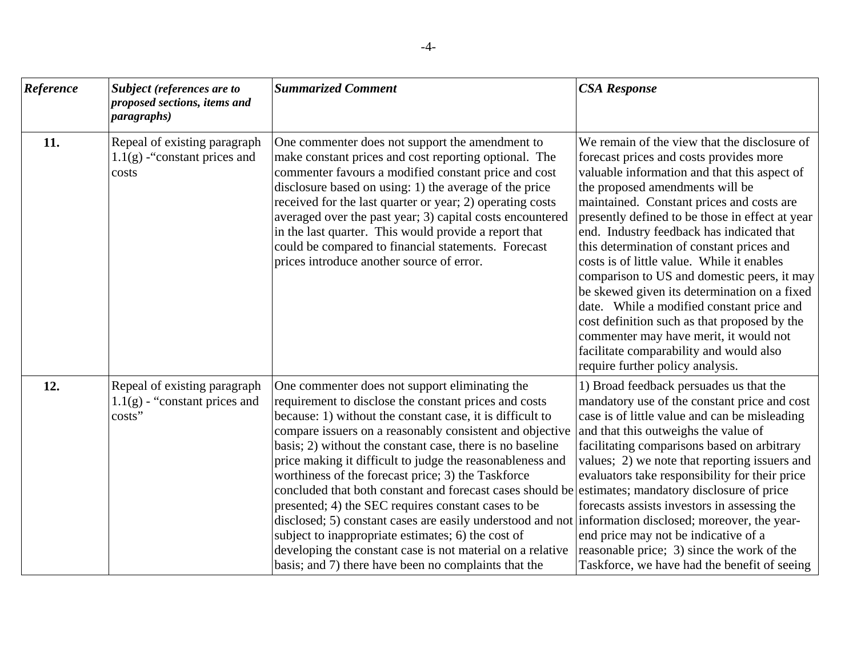| Reference | Subject (references are to<br>proposed sections, items and<br><i>paragraphs</i> ) | <b>Summarized Comment</b>                                                                                                                                                                                                                                                                                                                                                                                                                                                                                                                                                                                                                                                                                                                                                                                                                                          | <b>CSA Response</b>                                                                                                                                                                                                                                                                                                                                                                                                                                                                                                                                                                                                                                                                                                                     |
|-----------|-----------------------------------------------------------------------------------|--------------------------------------------------------------------------------------------------------------------------------------------------------------------------------------------------------------------------------------------------------------------------------------------------------------------------------------------------------------------------------------------------------------------------------------------------------------------------------------------------------------------------------------------------------------------------------------------------------------------------------------------------------------------------------------------------------------------------------------------------------------------------------------------------------------------------------------------------------------------|-----------------------------------------------------------------------------------------------------------------------------------------------------------------------------------------------------------------------------------------------------------------------------------------------------------------------------------------------------------------------------------------------------------------------------------------------------------------------------------------------------------------------------------------------------------------------------------------------------------------------------------------------------------------------------------------------------------------------------------------|
| 11.       | Repeal of existing paragraph<br>$1.1(g)$ -"constant prices and<br>costs           | One commenter does not support the amendment to<br>make constant prices and cost reporting optional. The<br>commenter favours a modified constant price and cost<br>disclosure based on using: 1) the average of the price<br>received for the last quarter or year; 2) operating costs<br>averaged over the past year; 3) capital costs encountered<br>in the last quarter. This would provide a report that<br>could be compared to financial statements. Forecast<br>prices introduce another source of error.                                                                                                                                                                                                                                                                                                                                                  | We remain of the view that the disclosure of<br>forecast prices and costs provides more<br>valuable information and that this aspect of<br>the proposed amendments will be<br>maintained. Constant prices and costs are<br>presently defined to be those in effect at year<br>end. Industry feedback has indicated that<br>this determination of constant prices and<br>costs is of little value. While it enables<br>comparison to US and domestic peers, it may<br>be skewed given its determination on a fixed<br>date. While a modified constant price and<br>cost definition such as that proposed by the<br>commenter may have merit, it would not<br>facilitate comparability and would also<br>require further policy analysis. |
| 12.       | Repeal of existing paragraph<br>$1.1(g)$ - "constant prices and<br>costs"         | One commenter does not support eliminating the<br>requirement to disclose the constant prices and costs<br>because: 1) without the constant case, it is difficult to<br>compare issuers on a reasonably consistent and objective<br>basis; 2) without the constant case, there is no baseline<br>price making it difficult to judge the reasonableness and<br>worthiness of the forecast price; 3) the Taskforce<br>concluded that both constant and forecast cases should be estimates; mandatory disclosure of price<br>presented; 4) the SEC requires constant cases to be<br>disclosed; 5) constant cases are easily understood and not information disclosed; moreover, the year-<br>subject to inappropriate estimates; 6) the cost of<br>developing the constant case is not material on a relative<br>basis; and 7) there have been no complaints that the | 1) Broad feedback persuades us that the<br>mandatory use of the constant price and cost<br>case is of little value and can be misleading<br>and that this outweighs the value of<br>facilitating comparisons based on arbitrary<br>values; 2) we note that reporting issuers and<br>evaluators take responsibility for their price<br>forecasts assists investors in assessing the<br>end price may not be indicative of a<br>reasonable price; 3) since the work of the<br>Taskforce, we have had the benefit of seeing                                                                                                                                                                                                                |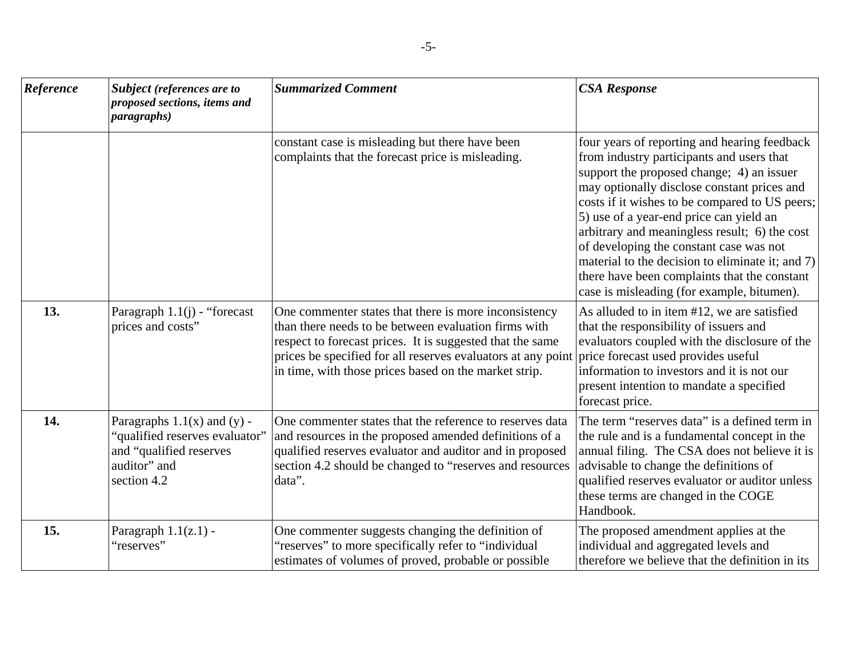| Reference | <b>Subject</b> (references are to<br>proposed sections, items and<br><i>paragraphs</i> )                                    | <b>Summarized Comment</b>                                                                                                                                                                                                                                                                           | <b>CSA Response</b>                                                                                                                                                                                                                                                                                                                                                                                                                                                                                                              |
|-----------|-----------------------------------------------------------------------------------------------------------------------------|-----------------------------------------------------------------------------------------------------------------------------------------------------------------------------------------------------------------------------------------------------------------------------------------------------|----------------------------------------------------------------------------------------------------------------------------------------------------------------------------------------------------------------------------------------------------------------------------------------------------------------------------------------------------------------------------------------------------------------------------------------------------------------------------------------------------------------------------------|
|           |                                                                                                                             | constant case is misleading but there have been<br>complaints that the forecast price is misleading.                                                                                                                                                                                                | four years of reporting and hearing feedback<br>from industry participants and users that<br>support the proposed change; 4) an issuer<br>may optionally disclose constant prices and<br>costs if it wishes to be compared to US peers;<br>5) use of a year-end price can yield an<br>arbitrary and meaningless result; 6) the cost<br>of developing the constant case was not<br>material to the decision to eliminate it; and 7)<br>there have been complaints that the constant<br>case is misleading (for example, bitumen). |
| 13.       | Paragraph $1.1(j)$ - "forecast<br>prices and costs"                                                                         | One commenter states that there is more inconsistency<br>than there needs to be between evaluation firms with<br>respect to forecast prices. It is suggested that the same<br>prices be specified for all reserves evaluators at any point<br>in time, with those prices based on the market strip. | As alluded to in item #12, we are satisfied<br>that the responsibility of issuers and<br>evaluators coupled with the disclosure of the<br>price forecast used provides useful<br>information to investors and it is not our<br>present intention to mandate a specified<br>forecast price.                                                                                                                                                                                                                                       |
| 14.       | Paragraphs $1.1(x)$ and $(y)$ -<br>"qualified reserves evaluator"<br>and "qualified reserves<br>auditor" and<br>section 4.2 | One commenter states that the reference to reserves data<br>and resources in the proposed amended definitions of a<br>qualified reserves evaluator and auditor and in proposed<br>section 4.2 should be changed to "reserves and resources<br>data".                                                | The term "reserves data" is a defined term in<br>the rule and is a fundamental concept in the<br>annual filing. The CSA does not believe it is<br>advisable to change the definitions of<br>qualified reserves evaluator or auditor unless<br>these terms are changed in the COGE<br>Handbook.                                                                                                                                                                                                                                   |
| 15.       | Paragraph $1.1(z.1)$ -<br>"reserves"                                                                                        | One commenter suggests changing the definition of<br>"reserves" to more specifically refer to "individual"<br>estimates of volumes of proved, probable or possible                                                                                                                                  | The proposed amendment applies at the<br>individual and aggregated levels and<br>therefore we believe that the definition in its                                                                                                                                                                                                                                                                                                                                                                                                 |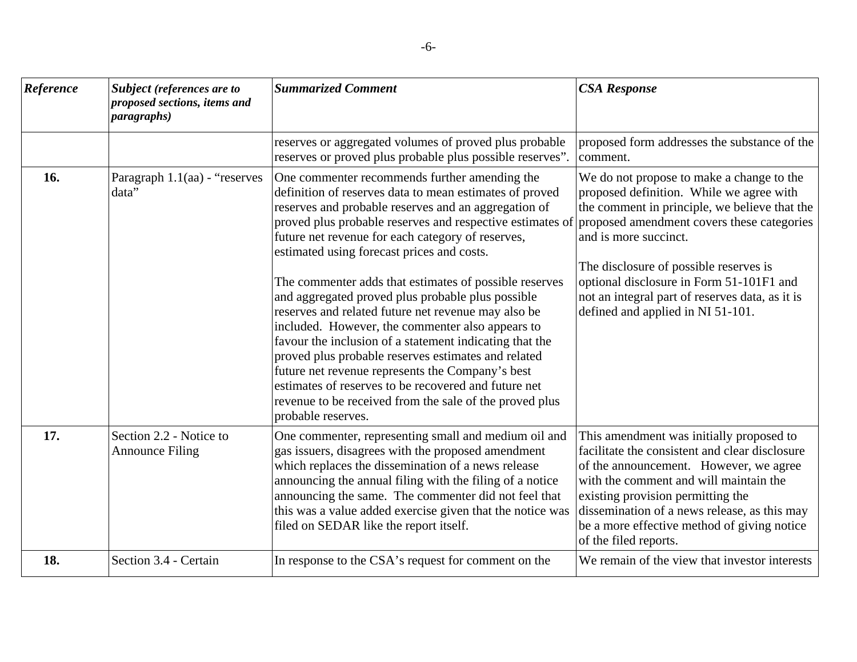| Reference | Subject (references are to<br>proposed sections, items and<br><i>paragraphs</i> ) | <b>Summarized Comment</b>                                                                                                                                                                                                                                                                                                                                                                                                                                                                                                                                                                                                                                                                                                                                                                                                                                                 | <b>CSA Response</b>                                                                                                                                                                                                                                                                                                                                                                         |
|-----------|-----------------------------------------------------------------------------------|---------------------------------------------------------------------------------------------------------------------------------------------------------------------------------------------------------------------------------------------------------------------------------------------------------------------------------------------------------------------------------------------------------------------------------------------------------------------------------------------------------------------------------------------------------------------------------------------------------------------------------------------------------------------------------------------------------------------------------------------------------------------------------------------------------------------------------------------------------------------------|---------------------------------------------------------------------------------------------------------------------------------------------------------------------------------------------------------------------------------------------------------------------------------------------------------------------------------------------------------------------------------------------|
|           |                                                                                   | reserves or aggregated volumes of proved plus probable<br>reserves or proved plus probable plus possible reserves".                                                                                                                                                                                                                                                                                                                                                                                                                                                                                                                                                                                                                                                                                                                                                       | proposed form addresses the substance of the<br>comment.                                                                                                                                                                                                                                                                                                                                    |
| 16.       | Paragraph $1.1$ (aa) - "reserves<br>data"                                         | One commenter recommends further amending the<br>definition of reserves data to mean estimates of proved<br>reserves and probable reserves and an aggregation of<br>proved plus probable reserves and respective estimates of<br>future net revenue for each category of reserves,<br>estimated using forecast prices and costs.<br>The commenter adds that estimates of possible reserves<br>and aggregated proved plus probable plus possible<br>reserves and related future net revenue may also be<br>included. However, the commenter also appears to<br>favour the inclusion of a statement indicating that the<br>proved plus probable reserves estimates and related<br>future net revenue represents the Company's best<br>estimates of reserves to be recovered and future net<br>revenue to be received from the sale of the proved plus<br>probable reserves. | We do not propose to make a change to the<br>proposed definition. While we agree with<br>the comment in principle, we believe that the<br>proposed amendment covers these categories<br>and is more succinct.<br>The disclosure of possible reserves is<br>optional disclosure in Form 51-101F1 and<br>not an integral part of reserves data, as it is<br>defined and applied in NI 51-101. |
| 17.       | Section 2.2 - Notice to<br><b>Announce Filing</b>                                 | One commenter, representing small and medium oil and<br>gas issuers, disagrees with the proposed amendment<br>which replaces the dissemination of a news release<br>announcing the annual filing with the filing of a notice<br>announcing the same. The commenter did not feel that<br>this was a value added exercise given that the notice was<br>filed on SEDAR like the report itself.                                                                                                                                                                                                                                                                                                                                                                                                                                                                               | This amendment was initially proposed to<br>facilitate the consistent and clear disclosure<br>of the announcement. However, we agree<br>with the comment and will maintain the<br>existing provision permitting the<br>dissemination of a news release, as this may<br>be a more effective method of giving notice<br>of the filed reports.                                                 |
| 18.       | Section 3.4 - Certain                                                             | In response to the CSA's request for comment on the                                                                                                                                                                                                                                                                                                                                                                                                                                                                                                                                                                                                                                                                                                                                                                                                                       | We remain of the view that investor interests                                                                                                                                                                                                                                                                                                                                               |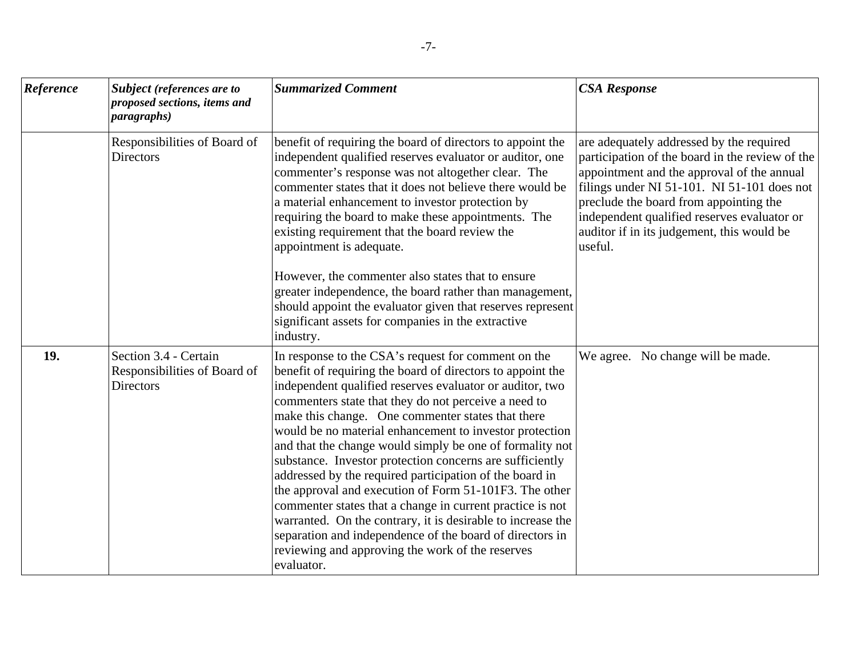| Reference | <b>Subject</b> (references are to<br>proposed sections, items and<br><i>paragraphs</i> ) | <b>Summarized Comment</b>                                                                                                                                                                                                                                                                                                                                                                                                                                                                                                                                                                                                                                                                                                                                                                                                                                    | <b>CSA Response</b>                                                                                                                                                                                                                                                                                                                        |
|-----------|------------------------------------------------------------------------------------------|--------------------------------------------------------------------------------------------------------------------------------------------------------------------------------------------------------------------------------------------------------------------------------------------------------------------------------------------------------------------------------------------------------------------------------------------------------------------------------------------------------------------------------------------------------------------------------------------------------------------------------------------------------------------------------------------------------------------------------------------------------------------------------------------------------------------------------------------------------------|--------------------------------------------------------------------------------------------------------------------------------------------------------------------------------------------------------------------------------------------------------------------------------------------------------------------------------------------|
|           | Responsibilities of Board of<br><b>Directors</b>                                         | benefit of requiring the board of directors to appoint the<br>independent qualified reserves evaluator or auditor, one<br>commenter's response was not altogether clear. The<br>commenter states that it does not believe there would be<br>a material enhancement to investor protection by<br>requiring the board to make these appointments. The<br>existing requirement that the board review the<br>appointment is adequate.<br>However, the commenter also states that to ensure<br>greater independence, the board rather than management,<br>should appoint the evaluator given that reserves represent<br>significant assets for companies in the extractive<br>industry.                                                                                                                                                                           | are adequately addressed by the required<br>participation of the board in the review of the<br>appointment and the approval of the annual<br>filings under NI 51-101. NI 51-101 does not<br>preclude the board from appointing the<br>independent qualified reserves evaluator or<br>auditor if in its judgement, this would be<br>useful. |
| 19.       | Section 3.4 - Certain<br>Responsibilities of Board of<br><b>Directors</b>                | In response to the CSA's request for comment on the<br>benefit of requiring the board of directors to appoint the<br>independent qualified reserves evaluator or auditor, two<br>commenters state that they do not perceive a need to<br>make this change. One commenter states that there<br>would be no material enhancement to investor protection<br>and that the change would simply be one of formality not<br>substance. Investor protection concerns are sufficiently<br>addressed by the required participation of the board in<br>the approval and execution of Form 51-101F3. The other<br>commenter states that a change in current practice is not<br>warranted. On the contrary, it is desirable to increase the<br>separation and independence of the board of directors in<br>reviewing and approving the work of the reserves<br>evaluator. | We agree. No change will be made.                                                                                                                                                                                                                                                                                                          |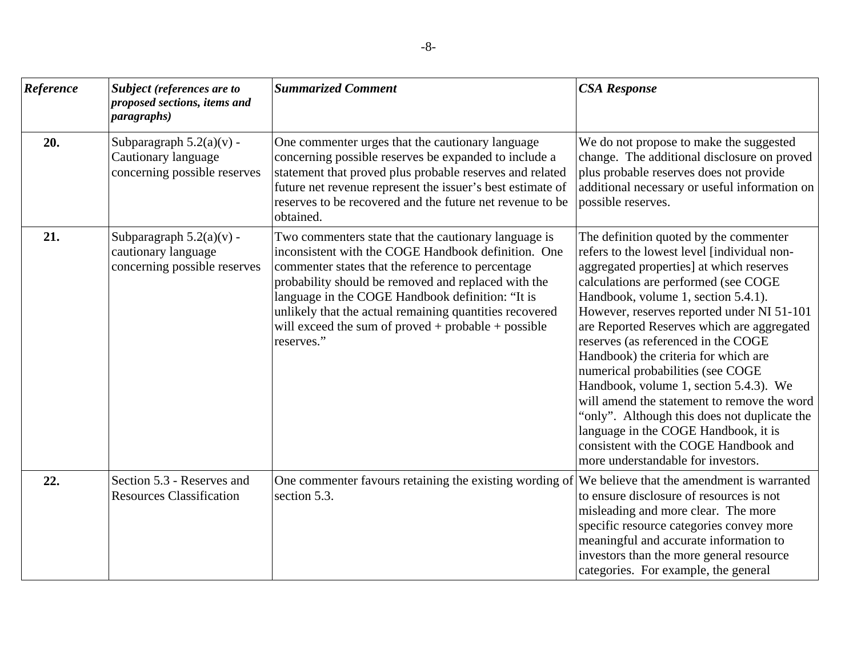| Reference | Subject (references are to<br>proposed sections, items and<br><i>paragraphs</i> ) | <b>Summarized Comment</b>                                                                                                                                                                                                                                                                                                                                                                                   | <b>CSA Response</b>                                                                                                                                                                                                                                                                                                                                                                                                                                                                                                                                                                                                                                                                              |
|-----------|-----------------------------------------------------------------------------------|-------------------------------------------------------------------------------------------------------------------------------------------------------------------------------------------------------------------------------------------------------------------------------------------------------------------------------------------------------------------------------------------------------------|--------------------------------------------------------------------------------------------------------------------------------------------------------------------------------------------------------------------------------------------------------------------------------------------------------------------------------------------------------------------------------------------------------------------------------------------------------------------------------------------------------------------------------------------------------------------------------------------------------------------------------------------------------------------------------------------------|
| 20.       | Subparagraph $5.2(a)(v)$ -<br>Cautionary language<br>concerning possible reserves | One commenter urges that the cautionary language<br>concerning possible reserves be expanded to include a<br>statement that proved plus probable reserves and related<br>future net revenue represent the issuer's best estimate of<br>reserves to be recovered and the future net revenue to be<br>obtained.                                                                                               | We do not propose to make the suggested<br>change. The additional disclosure on proved<br>plus probable reserves does not provide<br>additional necessary or useful information on<br>possible reserves.                                                                                                                                                                                                                                                                                                                                                                                                                                                                                         |
| 21.       | Subparagraph $5.2(a)(v)$ -<br>cautionary language<br>concerning possible reserves | Two commenters state that the cautionary language is<br>inconsistent with the COGE Handbook definition. One<br>commenter states that the reference to percentage<br>probability should be removed and replaced with the<br>language in the COGE Handbook definition: "It is<br>unlikely that the actual remaining quantities recovered<br>will exceed the sum of proved + probable + possible<br>reserves." | The definition quoted by the commenter<br>refers to the lowest level [individual non-<br>aggregated properties] at which reserves<br>calculations are performed (see COGE<br>Handbook, volume 1, section 5.4.1).<br>However, reserves reported under NI 51-101<br>are Reported Reserves which are aggregated<br>reserves (as referenced in the COGE<br>Handbook) the criteria for which are<br>numerical probabilities (see COGE<br>Handbook, volume 1, section 5.4.3). We<br>will amend the statement to remove the word<br>'only". Although this does not duplicate the<br>language in the COGE Handbook, it is<br>consistent with the COGE Handbook and<br>more understandable for investors. |
| 22.       | Section 5.3 - Reserves and<br><b>Resources Classification</b>                     | One commenter favours retaining the existing wording of<br>section 5.3.                                                                                                                                                                                                                                                                                                                                     | We believe that the amendment is warranted<br>to ensure disclosure of resources is not<br>misleading and more clear. The more<br>specific resource categories convey more<br>meaningful and accurate information to<br>investors than the more general resource<br>categories. For example, the general                                                                                                                                                                                                                                                                                                                                                                                          |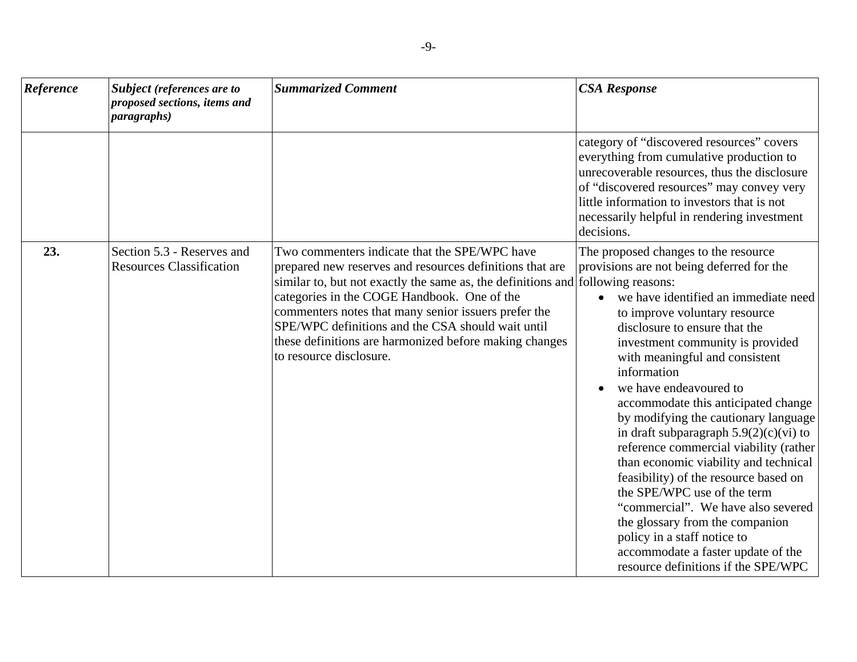| Reference | <b>Subject</b> (references are to<br>proposed sections, items and<br><i>paragraphs</i> ) | <b>Summarized Comment</b>                                                                                                                                                                                                                                                                                                                                                                                                                     | <b>CSA Response</b>                                                                                                                                                                                                                                                                                                                                                                                                                                                                                                                                                                                                                                                                                                                                                                   |
|-----------|------------------------------------------------------------------------------------------|-----------------------------------------------------------------------------------------------------------------------------------------------------------------------------------------------------------------------------------------------------------------------------------------------------------------------------------------------------------------------------------------------------------------------------------------------|---------------------------------------------------------------------------------------------------------------------------------------------------------------------------------------------------------------------------------------------------------------------------------------------------------------------------------------------------------------------------------------------------------------------------------------------------------------------------------------------------------------------------------------------------------------------------------------------------------------------------------------------------------------------------------------------------------------------------------------------------------------------------------------|
|           |                                                                                          |                                                                                                                                                                                                                                                                                                                                                                                                                                               | category of "discovered resources" covers<br>everything from cumulative production to<br>unrecoverable resources, thus the disclosure<br>of "discovered resources" may convey very<br>little information to investors that is not<br>necessarily helpful in rendering investment<br>decisions.                                                                                                                                                                                                                                                                                                                                                                                                                                                                                        |
| 23.       | Section 5.3 - Reserves and<br><b>Resources Classification</b>                            | Two commenters indicate that the SPE/WPC have<br>prepared new reserves and resources definitions that are<br>similar to, but not exactly the same as, the definitions and following reasons:<br>categories in the COGE Handbook. One of the<br>commenters notes that many senior issuers prefer the<br>SPE/WPC definitions and the CSA should wait until<br>these definitions are harmonized before making changes<br>to resource disclosure. | The proposed changes to the resource<br>provisions are not being deferred for the<br>we have identified an immediate need<br>to improve voluntary resource<br>disclosure to ensure that the<br>investment community is provided<br>with meaningful and consistent<br>information<br>we have endeavoured to<br>accommodate this anticipated change<br>by modifying the cautionary language<br>in draft subparagraph $5.9(2)(c)(vi)$ to<br>reference commercial viability (rather<br>than economic viability and technical<br>feasibility) of the resource based on<br>the SPE/WPC use of the term<br>"commercial". We have also severed<br>the glossary from the companion<br>policy in a staff notice to<br>accommodate a faster update of the<br>resource definitions if the SPE/WPC |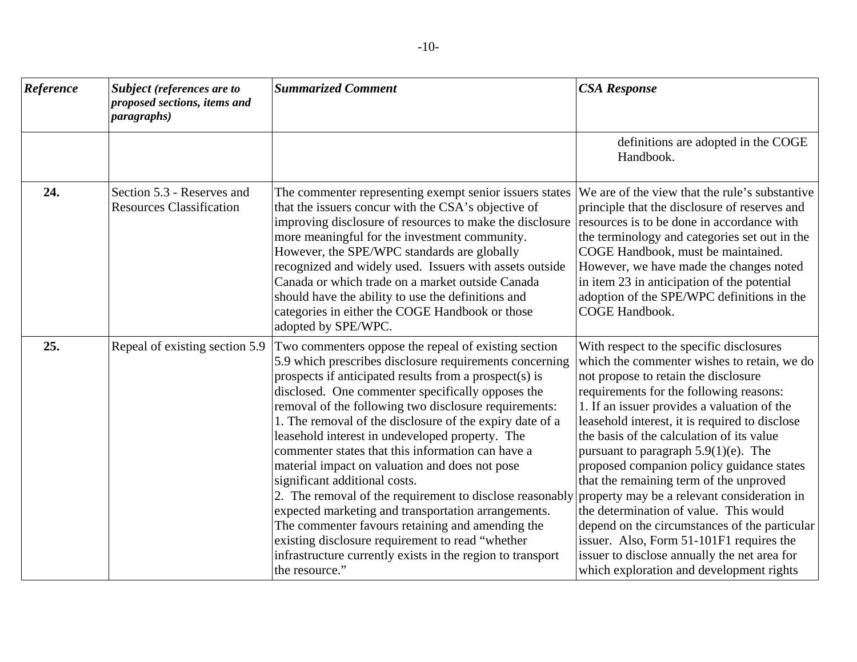| Reference | <b>Subject (references are to</b><br>proposed sections, items and<br><i>paragraphs</i> ) | <b>Summarized Comment</b>                                                                                                                                                                                                                                                                                                                                                                                                                                                                                                                                                                                                                                                                                                                                                                                                                                 | <b>CSA Response</b>                                                                                                                                                                                                                                                                                                                                                                                                                                                                                                                                                                                                                                                                                                                           |
|-----------|------------------------------------------------------------------------------------------|-----------------------------------------------------------------------------------------------------------------------------------------------------------------------------------------------------------------------------------------------------------------------------------------------------------------------------------------------------------------------------------------------------------------------------------------------------------------------------------------------------------------------------------------------------------------------------------------------------------------------------------------------------------------------------------------------------------------------------------------------------------------------------------------------------------------------------------------------------------|-----------------------------------------------------------------------------------------------------------------------------------------------------------------------------------------------------------------------------------------------------------------------------------------------------------------------------------------------------------------------------------------------------------------------------------------------------------------------------------------------------------------------------------------------------------------------------------------------------------------------------------------------------------------------------------------------------------------------------------------------|
|           |                                                                                          |                                                                                                                                                                                                                                                                                                                                                                                                                                                                                                                                                                                                                                                                                                                                                                                                                                                           | definitions are adopted in the COGE<br>Handbook.                                                                                                                                                                                                                                                                                                                                                                                                                                                                                                                                                                                                                                                                                              |
| 24.       | Section 5.3 - Reserves and<br><b>Resources Classification</b>                            | The commenter representing exempt senior issuers states<br>that the issuers concur with the CSA's objective of<br>improving disclosure of resources to make the disclosure<br>more meaningful for the investment community.<br>However, the SPE/WPC standards are globally<br>recognized and widely used. Issuers with assets outside<br>Canada or which trade on a market outside Canada<br>should have the ability to use the definitions and<br>categories in either the COGE Handbook or those<br>adopted by SPE/WPC.                                                                                                                                                                                                                                                                                                                                 | We are of the view that the rule's substantive<br>principle that the disclosure of reserves and<br>resources is to be done in accordance with<br>the terminology and categories set out in the<br>COGE Handbook, must be maintained.<br>However, we have made the changes noted<br>in item 23 in anticipation of the potential<br>adoption of the SPE/WPC definitions in the<br><b>COGE Handbook.</b>                                                                                                                                                                                                                                                                                                                                         |
| 25.       | Repeal of existing section 5.9                                                           | Two commenters oppose the repeal of existing section<br>5.9 which prescribes disclosure requirements concerning<br>prospects if anticipated results from a prospect(s) is<br>disclosed. One commenter specifically opposes the<br>removal of the following two disclosure requirements:<br>1. The removal of the disclosure of the expiry date of a<br>leasehold interest in undeveloped property. The<br>commenter states that this information can have a<br>material impact on valuation and does not pose<br>significant additional costs.<br>2. The removal of the requirement to disclose reasonably<br>expected marketing and transportation arrangements.<br>The commenter favours retaining and amending the<br>existing disclosure requirement to read "whether<br>infrastructure currently exists in the region to transport<br>the resource." | With respect to the specific disclosures<br>which the commenter wishes to retain, we do<br>not propose to retain the disclosure<br>requirements for the following reasons:<br>1. If an issuer provides a valuation of the<br>leasehold interest, it is required to disclose<br>the basis of the calculation of its value<br>pursuant to paragraph $5.9(1)(e)$ . The<br>proposed companion policy guidance states<br>that the remaining term of the unproved<br>property may be a relevant consideration in<br>the determination of value. This would<br>depend on the circumstances of the particular<br>issuer. Also, Form 51-101F1 requires the<br>issuer to disclose annually the net area for<br>which exploration and development rights |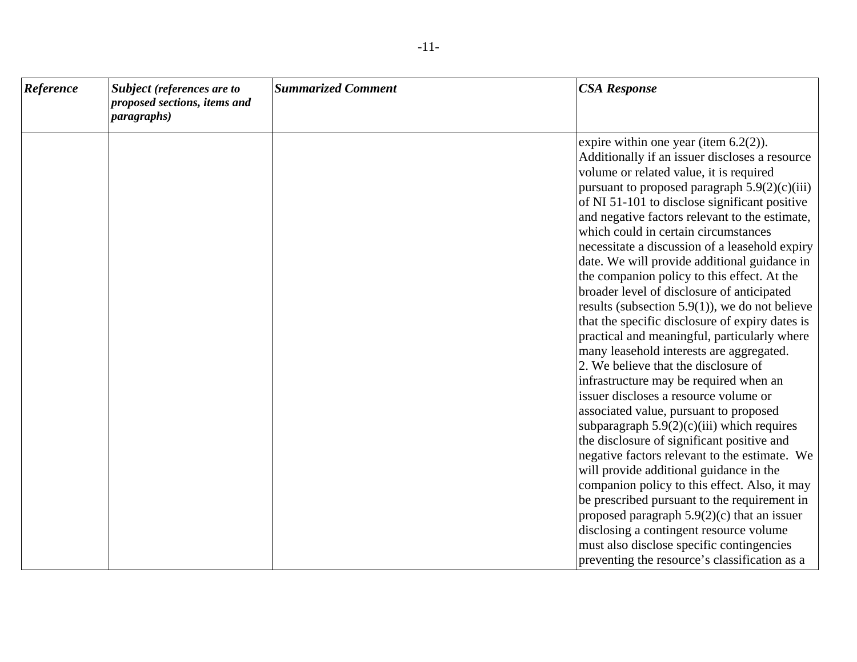| Reference | Subject (references are to<br>proposed sections, items and<br><i>paragraphs</i> ) | <b>Summarized Comment</b> | <b>CSA Response</b>                                                                                                                                                                                                                                                                                                                                                                                                                                                                                                                                                                                                                                                                                                                                                                                                                                                                                                                                                                                                                                                                                                                                                                                                                                                                                                                                                                           |
|-----------|-----------------------------------------------------------------------------------|---------------------------|-----------------------------------------------------------------------------------------------------------------------------------------------------------------------------------------------------------------------------------------------------------------------------------------------------------------------------------------------------------------------------------------------------------------------------------------------------------------------------------------------------------------------------------------------------------------------------------------------------------------------------------------------------------------------------------------------------------------------------------------------------------------------------------------------------------------------------------------------------------------------------------------------------------------------------------------------------------------------------------------------------------------------------------------------------------------------------------------------------------------------------------------------------------------------------------------------------------------------------------------------------------------------------------------------------------------------------------------------------------------------------------------------|
|           |                                                                                   |                           | expire within one year (item $6.2(2)$ ).<br>Additionally if an issuer discloses a resource<br>volume or related value, it is required<br>pursuant to proposed paragraph $5.9(2)(c)(iii)$<br>of NI 51-101 to disclose significant positive<br>and negative factors relevant to the estimate,<br>which could in certain circumstances<br>necessitate a discussion of a leasehold expiry<br>date. We will provide additional guidance in<br>the companion policy to this effect. At the<br>broader level of disclosure of anticipated<br>results (subsection 5.9(1)), we do not believe<br>that the specific disclosure of expiry dates is<br>practical and meaningful, particularly where<br>many leasehold interests are aggregated.<br>2. We believe that the disclosure of<br>infrastructure may be required when an<br>issuer discloses a resource volume or<br>associated value, pursuant to proposed<br>subparagraph $5.9(2)(c)(iii)$ which requires<br>the disclosure of significant positive and<br>negative factors relevant to the estimate. We<br>will provide additional guidance in the<br>companion policy to this effect. Also, it may<br>be prescribed pursuant to the requirement in<br>proposed paragraph $5.9(2)(c)$ that an issuer<br>disclosing a contingent resource volume<br>must also disclose specific contingencies<br>preventing the resource's classification as a |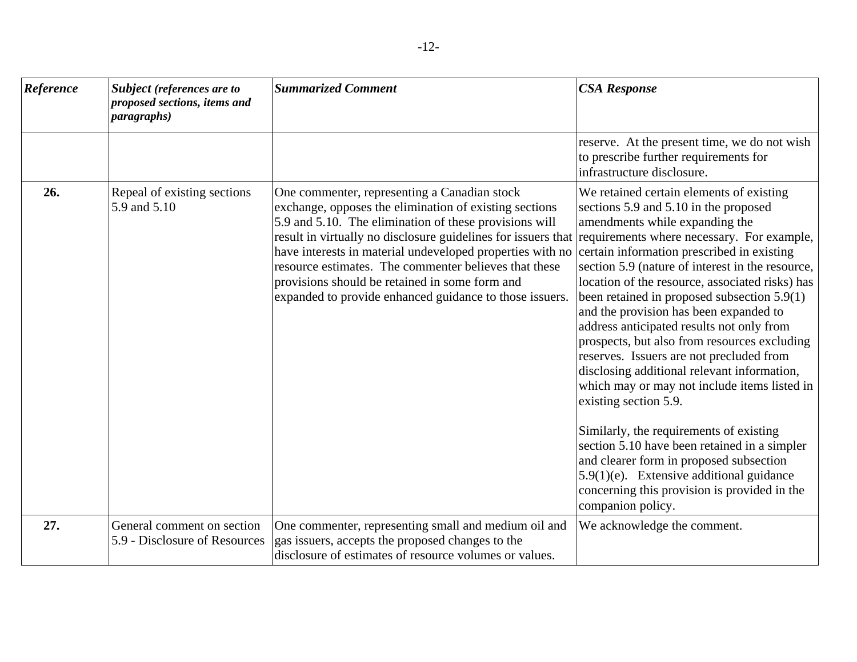| Reference | Subject (references are to<br>proposed sections, items and<br><i>paragraphs</i> ) | <b>Summarized Comment</b>                                                                                                                                                                                                                                                                                                                                                                                                                                                                                       | <b>CSA Response</b>                                                                                                                                                                                                                                                                                                                                                                                                                                                                                                                                                                                                                                                                                                                                                                                                                                                                          |
|-----------|-----------------------------------------------------------------------------------|-----------------------------------------------------------------------------------------------------------------------------------------------------------------------------------------------------------------------------------------------------------------------------------------------------------------------------------------------------------------------------------------------------------------------------------------------------------------------------------------------------------------|----------------------------------------------------------------------------------------------------------------------------------------------------------------------------------------------------------------------------------------------------------------------------------------------------------------------------------------------------------------------------------------------------------------------------------------------------------------------------------------------------------------------------------------------------------------------------------------------------------------------------------------------------------------------------------------------------------------------------------------------------------------------------------------------------------------------------------------------------------------------------------------------|
|           |                                                                                   |                                                                                                                                                                                                                                                                                                                                                                                                                                                                                                                 | reserve. At the present time, we do not wish<br>to prescribe further requirements for<br>infrastructure disclosure.                                                                                                                                                                                                                                                                                                                                                                                                                                                                                                                                                                                                                                                                                                                                                                          |
| 26.       | Repeal of existing sections<br>5.9 and 5.10                                       | One commenter, representing a Canadian stock<br>exchange, opposes the elimination of existing sections<br>5.9 and 5.10. The elimination of these provisions will<br>result in virtually no disclosure guidelines for issuers that requirements where necessary. For example,<br>have interests in material undeveloped properties with no<br>resource estimates. The commenter believes that these<br>provisions should be retained in some form and<br>expanded to provide enhanced guidance to those issuers. | We retained certain elements of existing<br>sections 5.9 and 5.10 in the proposed<br>amendments while expanding the<br>certain information prescribed in existing<br>section 5.9 (nature of interest in the resource,<br>location of the resource, associated risks) has<br>been retained in proposed subsection 5.9(1)<br>and the provision has been expanded to<br>address anticipated results not only from<br>prospects, but also from resources excluding<br>reserves. Issuers are not precluded from<br>disclosing additional relevant information,<br>which may or may not include items listed in<br>existing section 5.9.<br>Similarly, the requirements of existing<br>section 5.10 have been retained in a simpler<br>and clearer form in proposed subsection<br>$5.9(1)(e)$ . Extensive additional guidance<br>concerning this provision is provided in the<br>companion policy. |
| 27.       | General comment on section<br>5.9 - Disclosure of Resources                       | One commenter, representing small and medium oil and<br>gas issuers, accepts the proposed changes to the<br>disclosure of estimates of resource volumes or values.                                                                                                                                                                                                                                                                                                                                              | We acknowledge the comment.                                                                                                                                                                                                                                                                                                                                                                                                                                                                                                                                                                                                                                                                                                                                                                                                                                                                  |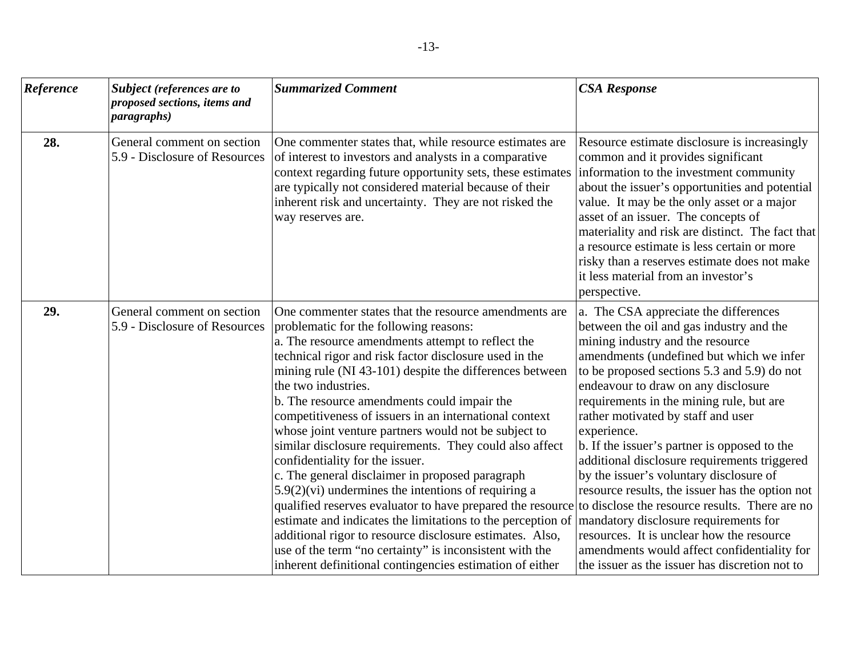| Reference | <b>Subject</b> (references are to<br>proposed sections, items and<br><i>paragraphs</i> ) | <b>Summarized Comment</b>                                                                                                                                                                                                                                                                                                                                                                                                                                                                                                                                                                                                                                                                                                                                                                                                                                                                                                                                                                    | <b>CSA Response</b>                                                                                                                                                                                                                                                                                                                                                                                                                                                                                                                                                                                                                                                                                                                                                                             |
|-----------|------------------------------------------------------------------------------------------|----------------------------------------------------------------------------------------------------------------------------------------------------------------------------------------------------------------------------------------------------------------------------------------------------------------------------------------------------------------------------------------------------------------------------------------------------------------------------------------------------------------------------------------------------------------------------------------------------------------------------------------------------------------------------------------------------------------------------------------------------------------------------------------------------------------------------------------------------------------------------------------------------------------------------------------------------------------------------------------------|-------------------------------------------------------------------------------------------------------------------------------------------------------------------------------------------------------------------------------------------------------------------------------------------------------------------------------------------------------------------------------------------------------------------------------------------------------------------------------------------------------------------------------------------------------------------------------------------------------------------------------------------------------------------------------------------------------------------------------------------------------------------------------------------------|
| 28.       | General comment on section<br>5.9 - Disclosure of Resources                              | One commenter states that, while resource estimates are<br>of interest to investors and analysts in a comparative<br>context regarding future opportunity sets, these estimates<br>are typically not considered material because of their<br>inherent risk and uncertainty. They are not risked the<br>way reserves are.                                                                                                                                                                                                                                                                                                                                                                                                                                                                                                                                                                                                                                                                     | Resource estimate disclosure is increasingly<br>common and it provides significant<br>information to the investment community<br>about the issuer's opportunities and potential<br>value. It may be the only asset or a major<br>asset of an issuer. The concepts of<br>materiality and risk are distinct. The fact that<br>a resource estimate is less certain or more<br>risky than a reserves estimate does not make<br>it less material from an investor's<br>perspective.                                                                                                                                                                                                                                                                                                                  |
| 29.       | General comment on section<br>5.9 - Disclosure of Resources                              | One commenter states that the resource amendments are<br>problematic for the following reasons:<br>a. The resource amendments attempt to reflect the<br>technical rigor and risk factor disclosure used in the<br>mining rule (NI 43-101) despite the differences between<br>the two industries.<br>b. The resource amendments could impair the<br>competitiveness of issuers in an international context<br>whose joint venture partners would not be subject to<br>similar disclosure requirements. They could also affect<br>confidentiality for the issuer.<br>c. The general disclaimer in proposed paragraph<br>$5.9(2)$ (vi) undermines the intentions of requiring a<br>qualified reserves evaluator to have prepared the resource<br>estimate and indicates the limitations to the perception of<br>additional rigor to resource disclosure estimates. Also,<br>use of the term "no certainty" is inconsistent with the<br>inherent definitional contingencies estimation of either | a. The CSA appreciate the differences<br>between the oil and gas industry and the<br>mining industry and the resource<br>amendments (undefined but which we infer<br>to be proposed sections 5.3 and 5.9) do not<br>endeavour to draw on any disclosure<br>requirements in the mining rule, but are<br>rather motivated by staff and user<br>experience.<br>b. If the issuer's partner is opposed to the<br>additional disclosure requirements triggered<br>by the issuer's voluntary disclosure of<br>resource results, the issuer has the option not<br>to disclose the resource results. There are no<br>mandatory disclosure requirements for<br>resources. It is unclear how the resource<br>amendments would affect confidentiality for<br>the issuer as the issuer has discretion not to |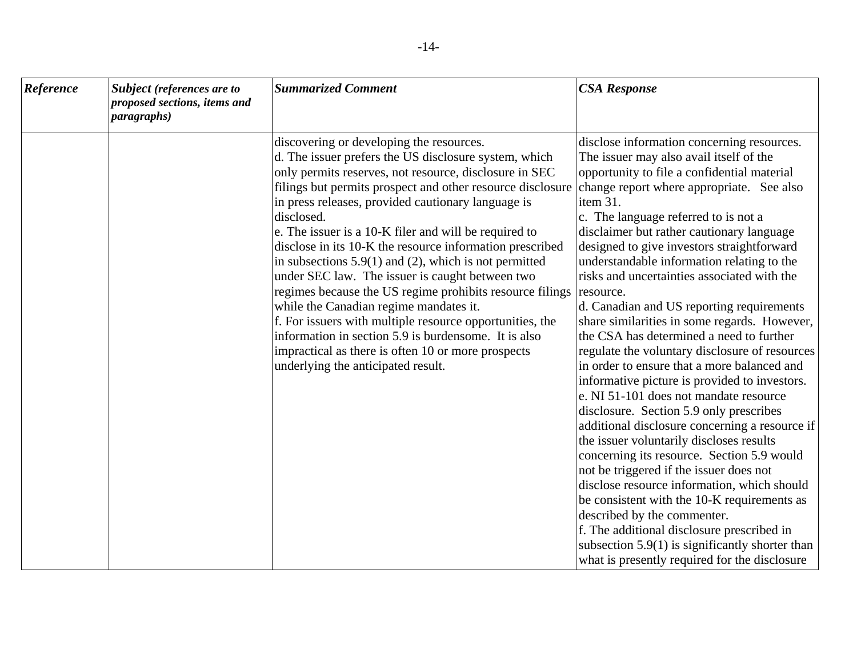| Reference | Subject (references are to<br>proposed sections, items and<br><i>paragraphs</i> ) | <b>Summarized Comment</b>                                                                                                                                                                                                                                                                                                                                                                                                                                                                                                                                                                                                                                                                                                                                                                                                                                        | <b>CSA Response</b>                                                                                                                                                                                                                                                                                                                                                                                                                                                                                                                                                                                                                                                                                                                                                                                                                                                                                                                                                                                                                                                                                                                                                                                                                                                                   |
|-----------|-----------------------------------------------------------------------------------|------------------------------------------------------------------------------------------------------------------------------------------------------------------------------------------------------------------------------------------------------------------------------------------------------------------------------------------------------------------------------------------------------------------------------------------------------------------------------------------------------------------------------------------------------------------------------------------------------------------------------------------------------------------------------------------------------------------------------------------------------------------------------------------------------------------------------------------------------------------|---------------------------------------------------------------------------------------------------------------------------------------------------------------------------------------------------------------------------------------------------------------------------------------------------------------------------------------------------------------------------------------------------------------------------------------------------------------------------------------------------------------------------------------------------------------------------------------------------------------------------------------------------------------------------------------------------------------------------------------------------------------------------------------------------------------------------------------------------------------------------------------------------------------------------------------------------------------------------------------------------------------------------------------------------------------------------------------------------------------------------------------------------------------------------------------------------------------------------------------------------------------------------------------|
|           |                                                                                   | discovering or developing the resources.<br>d. The issuer prefers the US disclosure system, which<br>only permits reserves, not resource, disclosure in SEC<br>filings but permits prospect and other resource disclosure<br>in press releases, provided cautionary language is<br>disclosed.<br>e. The issuer is a 10-K filer and will be required to<br>disclose in its 10-K the resource information prescribed<br>in subsections $5.9(1)$ and (2), which is not permitted<br>under SEC law. The issuer is caught between two<br>regimes because the US regime prohibits resource filings resource.<br>while the Canadian regime mandates it.<br>f. For issuers with multiple resource opportunities, the<br>information in section 5.9 is burdensome. It is also<br>impractical as there is often 10 or more prospects<br>underlying the anticipated result. | disclose information concerning resources.<br>The issuer may also avail itself of the<br>opportunity to file a confidential material<br>change report where appropriate. See also<br>item 31.<br>c. The language referred to is not a<br>disclaimer but rather cautionary language<br>designed to give investors straightforward<br>understandable information relating to the<br>risks and uncertainties associated with the<br>d. Canadian and US reporting requirements<br>share similarities in some regards. However,<br>the CSA has determined a need to further<br>regulate the voluntary disclosure of resources<br>in order to ensure that a more balanced and<br>informative picture is provided to investors.<br>e. NI 51-101 does not mandate resource<br>disclosure. Section 5.9 only prescribes<br>additional disclosure concerning a resource if<br>the issuer voluntarily discloses results<br>concerning its resource. Section 5.9 would<br>not be triggered if the issuer does not<br>disclose resource information, which should<br>be consistent with the 10-K requirements as<br>described by the commenter.<br>f. The additional disclosure prescribed in<br>subsection $5.9(1)$ is significantly shorter than<br>what is presently required for the disclosure |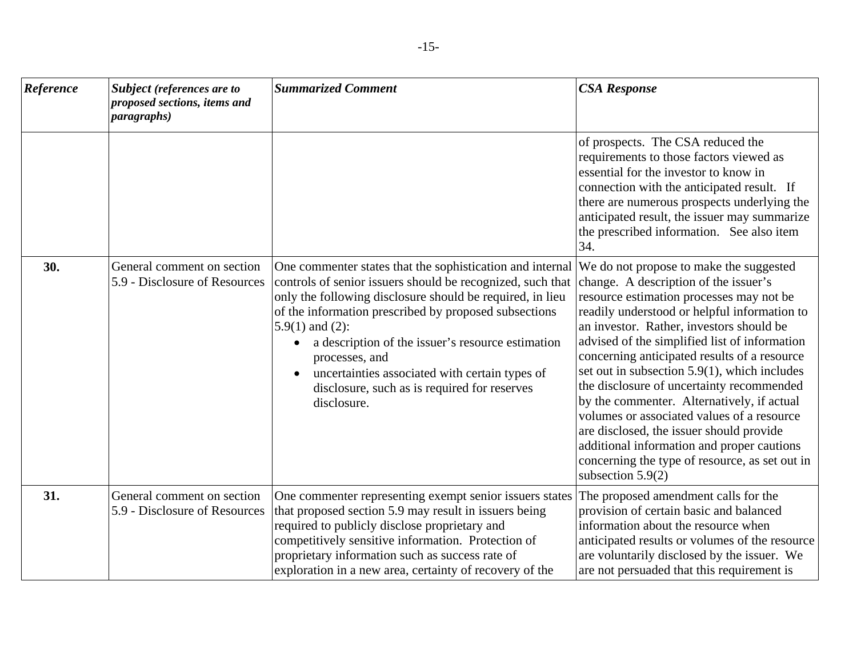| Reference | Subject (references are to<br>proposed sections, items and<br><i>paragraphs</i> ) | <b>Summarized Comment</b>                                                                                                                                                                                                                                                                                                                                                                                                                                                  | <b>CSA Response</b>                                                                                                                                                                                                                                                                                                                                                                                                                                                                                                                                                                                                                                                                   |
|-----------|-----------------------------------------------------------------------------------|----------------------------------------------------------------------------------------------------------------------------------------------------------------------------------------------------------------------------------------------------------------------------------------------------------------------------------------------------------------------------------------------------------------------------------------------------------------------------|---------------------------------------------------------------------------------------------------------------------------------------------------------------------------------------------------------------------------------------------------------------------------------------------------------------------------------------------------------------------------------------------------------------------------------------------------------------------------------------------------------------------------------------------------------------------------------------------------------------------------------------------------------------------------------------|
|           |                                                                                   |                                                                                                                                                                                                                                                                                                                                                                                                                                                                            | of prospects. The CSA reduced the<br>requirements to those factors viewed as<br>essential for the investor to know in<br>connection with the anticipated result. If<br>there are numerous prospects underlying the<br>anticipated result, the issuer may summarize<br>the prescribed information. See also item<br>34.                                                                                                                                                                                                                                                                                                                                                                |
| 30.       | General comment on section<br>5.9 - Disclosure of Resources                       | One commenter states that the sophistication and internal<br>controls of senior issuers should be recognized, such that<br>only the following disclosure should be required, in lieu<br>of the information prescribed by proposed subsections<br>$5.9(1)$ and $(2)$ :<br>a description of the issuer's resource estimation<br>$\bullet$<br>processes, and<br>uncertainties associated with certain types of<br>disclosure, such as is required for reserves<br>disclosure. | We do not propose to make the suggested<br>change. A description of the issuer's<br>resource estimation processes may not be<br>readily understood or helpful information to<br>an investor. Rather, investors should be<br>advised of the simplified list of information<br>concerning anticipated results of a resource<br>set out in subsection 5.9(1), which includes<br>the disclosure of uncertainty recommended<br>by the commenter. Alternatively, if actual<br>volumes or associated values of a resource<br>are disclosed, the issuer should provide<br>additional information and proper cautions<br>concerning the type of resource, as set out in<br>subsection $5.9(2)$ |
| 31.       | General comment on section<br>5.9 - Disclosure of Resources                       | One commenter representing exempt senior issuers states<br>that proposed section 5.9 may result in issuers being<br>required to publicly disclose proprietary and<br>competitively sensitive information. Protection of<br>proprietary information such as success rate of<br>exploration in a new area, certainty of recovery of the                                                                                                                                      | The proposed amendment calls for the<br>provision of certain basic and balanced<br>information about the resource when<br>anticipated results or volumes of the resource<br>are voluntarily disclosed by the issuer. We<br>are not persuaded that this requirement is                                                                                                                                                                                                                                                                                                                                                                                                                 |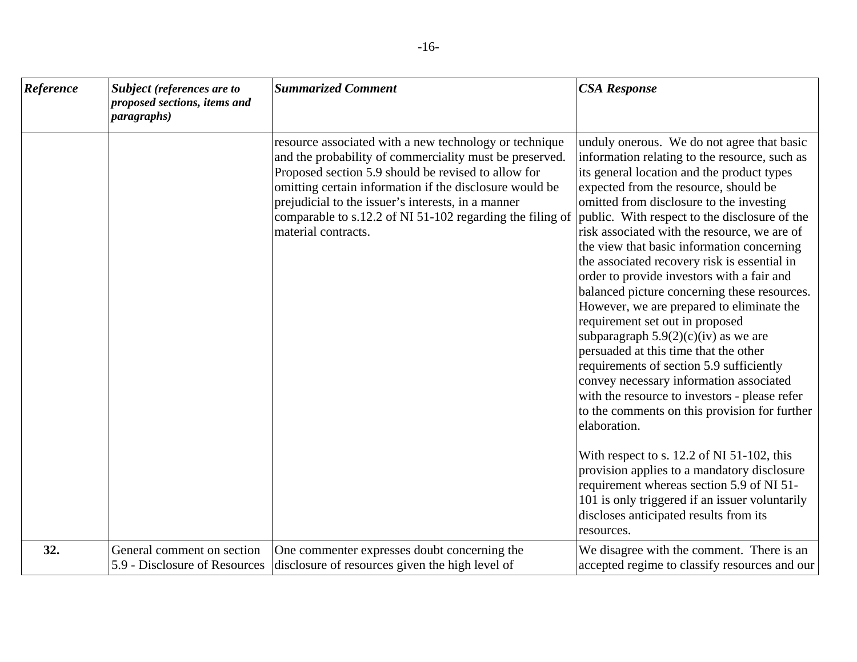| Reference | <b>Subject</b> (references are to<br>proposed sections, items and<br><i>paragraphs</i> ) | <b>Summarized Comment</b>                                                                                                                                                                                                                                                                                                                                                     | <b>CSA Response</b>                                                                                                                                                                                                                                                                                                                                                                                                                                                                                                                                                                                                                                                                                                                                                                                                                                                                                                                                                                                                                                                                                                                                           |
|-----------|------------------------------------------------------------------------------------------|-------------------------------------------------------------------------------------------------------------------------------------------------------------------------------------------------------------------------------------------------------------------------------------------------------------------------------------------------------------------------------|---------------------------------------------------------------------------------------------------------------------------------------------------------------------------------------------------------------------------------------------------------------------------------------------------------------------------------------------------------------------------------------------------------------------------------------------------------------------------------------------------------------------------------------------------------------------------------------------------------------------------------------------------------------------------------------------------------------------------------------------------------------------------------------------------------------------------------------------------------------------------------------------------------------------------------------------------------------------------------------------------------------------------------------------------------------------------------------------------------------------------------------------------------------|
|           |                                                                                          | resource associated with a new technology or technique<br>and the probability of commerciality must be preserved.<br>Proposed section 5.9 should be revised to allow for<br>omitting certain information if the disclosure would be<br>prejudicial to the issuer's interests, in a manner<br>comparable to s.12.2 of NI 51-102 regarding the filing of<br>material contracts. | unduly onerous. We do not agree that basic<br>information relating to the resource, such as<br>its general location and the product types<br>expected from the resource, should be<br>omitted from disclosure to the investing<br>public. With respect to the disclosure of the<br>risk associated with the resource, we are of<br>the view that basic information concerning<br>the associated recovery risk is essential in<br>order to provide investors with a fair and<br>balanced picture concerning these resources.<br>However, we are prepared to eliminate the<br>requirement set out in proposed<br>subparagraph $5.9(2)(c)(iv)$ as we are<br>persuaded at this time that the other<br>requirements of section 5.9 sufficiently<br>convey necessary information associated<br>with the resource to investors - please refer<br>to the comments on this provision for further<br>elaboration.<br>With respect to s. $12.2$ of NI 51-102, this<br>provision applies to a mandatory disclosure<br>requirement whereas section 5.9 of NI 51-<br>101 is only triggered if an issuer voluntarily<br>discloses anticipated results from its<br>resources. |
| 32.       | General comment on section<br>5.9 - Disclosure of Resources                              | One commenter expresses doubt concerning the<br>disclosure of resources given the high level of                                                                                                                                                                                                                                                                               | We disagree with the comment. There is an<br>accepted regime to classify resources and our                                                                                                                                                                                                                                                                                                                                                                                                                                                                                                                                                                                                                                                                                                                                                                                                                                                                                                                                                                                                                                                                    |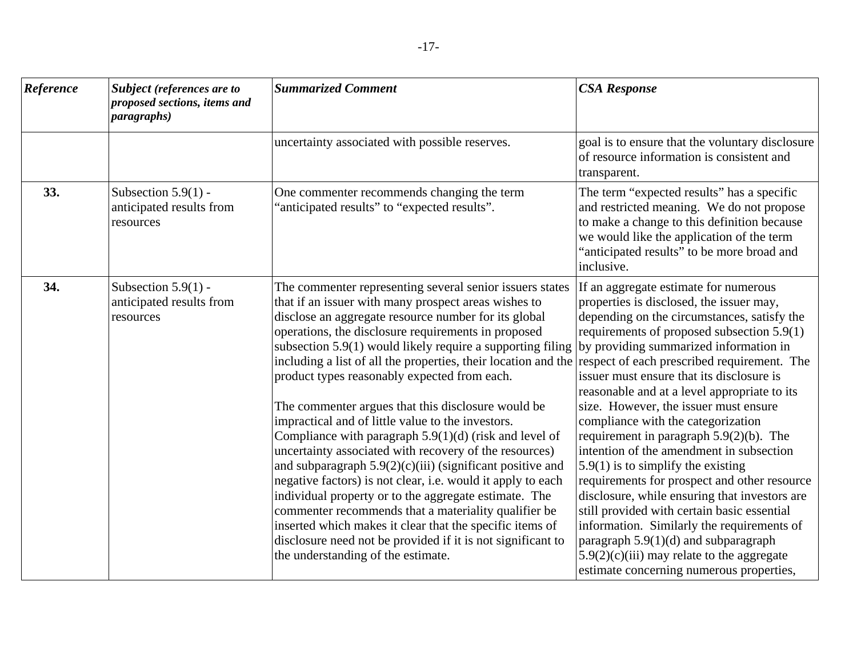| Reference | Subject (references are to<br>proposed sections, items and<br><i>paragraphs</i> ) | <b>Summarized Comment</b>                                                                                                                                                                                                                                                                                                                                                                                                                                                                                                                                                                                                                                                                                                                                                                                                                                                                                                                                                                                                                                      | <b>CSA Response</b>                                                                                                                                                                                                                                                                                                                                                                                                                                                                                                                                                                                                                                                                                                                                                                                                                                                                                                       |
|-----------|-----------------------------------------------------------------------------------|----------------------------------------------------------------------------------------------------------------------------------------------------------------------------------------------------------------------------------------------------------------------------------------------------------------------------------------------------------------------------------------------------------------------------------------------------------------------------------------------------------------------------------------------------------------------------------------------------------------------------------------------------------------------------------------------------------------------------------------------------------------------------------------------------------------------------------------------------------------------------------------------------------------------------------------------------------------------------------------------------------------------------------------------------------------|---------------------------------------------------------------------------------------------------------------------------------------------------------------------------------------------------------------------------------------------------------------------------------------------------------------------------------------------------------------------------------------------------------------------------------------------------------------------------------------------------------------------------------------------------------------------------------------------------------------------------------------------------------------------------------------------------------------------------------------------------------------------------------------------------------------------------------------------------------------------------------------------------------------------------|
|           |                                                                                   | uncertainty associated with possible reserves.                                                                                                                                                                                                                                                                                                                                                                                                                                                                                                                                                                                                                                                                                                                                                                                                                                                                                                                                                                                                                 | goal is to ensure that the voluntary disclosure<br>of resource information is consistent and<br>transparent.                                                                                                                                                                                                                                                                                                                                                                                                                                                                                                                                                                                                                                                                                                                                                                                                              |
| 33.       | Subsection $5.9(1)$ -<br>anticipated results from<br>resources                    | One commenter recommends changing the term<br>'anticipated results" to "expected results".                                                                                                                                                                                                                                                                                                                                                                                                                                                                                                                                                                                                                                                                                                                                                                                                                                                                                                                                                                     | The term "expected results" has a specific<br>and restricted meaning. We do not propose<br>to make a change to this definition because<br>we would like the application of the term<br>"anticipated results" to be more broad and<br>inclusive.                                                                                                                                                                                                                                                                                                                                                                                                                                                                                                                                                                                                                                                                           |
| 34.       | Subsection $5.9(1)$ -<br>anticipated results from<br>resources                    | The commenter representing several senior issuers states<br>that if an issuer with many prospect areas wishes to<br>disclose an aggregate resource number for its global<br>operations, the disclosure requirements in proposed<br>subsection 5.9(1) would likely require a supporting filing<br>including a list of all the properties, their location and the<br>product types reasonably expected from each.<br>The commenter argues that this disclosure would be<br>impractical and of little value to the investors.<br>Compliance with paragraph 5.9(1)(d) (risk and level of<br>uncertainty associated with recovery of the resources)<br>and subparagraph $5.9(2)(c)(iii)$ (significant positive and<br>negative factors) is not clear, i.e. would it apply to each<br>individual property or to the aggregate estimate. The<br>commenter recommends that a materiality qualifier be<br>inserted which makes it clear that the specific items of<br>disclosure need not be provided if it is not significant to<br>the understanding of the estimate. | If an aggregate estimate for numerous<br>properties is disclosed, the issuer may,<br>depending on the circumstances, satisfy the<br>requirements of proposed subsection 5.9(1)<br>by providing summarized information in<br>respect of each prescribed requirement. The<br>issuer must ensure that its disclosure is<br>reasonable and at a level appropriate to its<br>size. However, the issuer must ensure<br>compliance with the categorization<br>requirement in paragraph $5.9(2)(b)$ . The<br>intention of the amendment in subsection<br>$5.9(1)$ is to simplify the existing<br>requirements for prospect and other resource<br>disclosure, while ensuring that investors are<br>still provided with certain basic essential<br>information. Similarly the requirements of<br>paragraph $5.9(1)(d)$ and subparagraph<br>$5.9(2)(c)(iii)$ may relate to the aggregate<br>estimate concerning numerous properties, |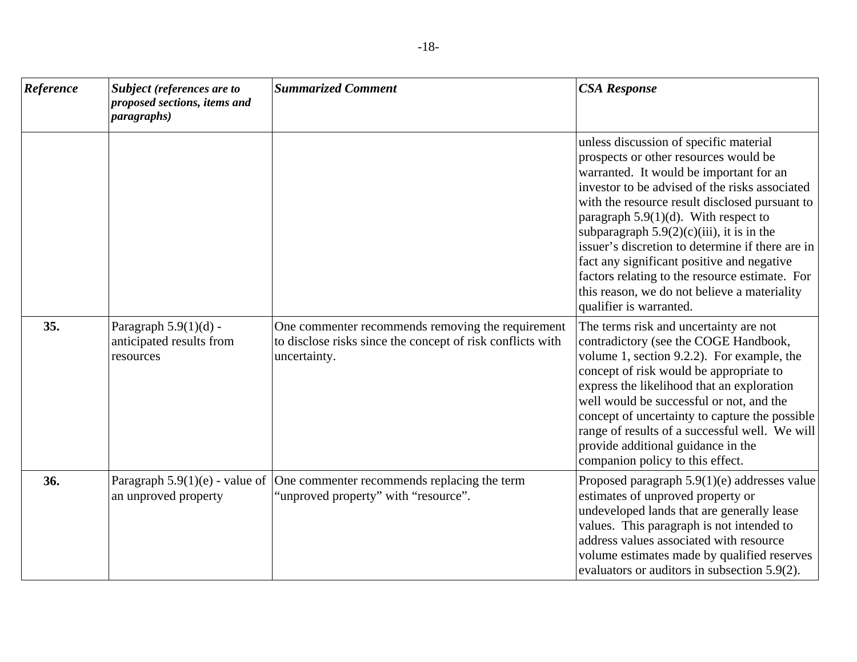| Reference | Subject (references are to<br>proposed sections, items and<br><i>paragraphs</i> ) | <b>Summarized Comment</b>                                                                                                       | <b>CSA Response</b>                                                                                                                                                                                                                                                                                                                                                                                                                                                                                                                                      |
|-----------|-----------------------------------------------------------------------------------|---------------------------------------------------------------------------------------------------------------------------------|----------------------------------------------------------------------------------------------------------------------------------------------------------------------------------------------------------------------------------------------------------------------------------------------------------------------------------------------------------------------------------------------------------------------------------------------------------------------------------------------------------------------------------------------------------|
|           |                                                                                   |                                                                                                                                 | unless discussion of specific material<br>prospects or other resources would be<br>warranted. It would be important for an<br>investor to be advised of the risks associated<br>with the resource result disclosed pursuant to<br>paragraph $5.9(1)(d)$ . With respect to<br>subparagraph $5.9(2)(c)(iii)$ , it is in the<br>issuer's discretion to determine if there are in<br>fact any significant positive and negative<br>factors relating to the resource estimate. For<br>this reason, we do not believe a materiality<br>qualifier is warranted. |
| 35.       | Paragraph $5.9(1)(d)$ -<br>anticipated results from<br>resources                  | One commenter recommends removing the requirement<br>to disclose risks since the concept of risk conflicts with<br>uncertainty. | The terms risk and uncertainty are not<br>contradictory (see the COGE Handbook,<br>volume 1, section 9.2.2). For example, the<br>concept of risk would be appropriate to<br>express the likelihood that an exploration<br>well would be successful or not, and the<br>concept of uncertainty to capture the possible<br>range of results of a successful well. We will<br>provide additional guidance in the<br>companion policy to this effect.                                                                                                         |
| 36.       | Paragraph $5.9(1)(e)$ - value of<br>an unproved property                          | One commenter recommends replacing the term<br>'unproved property" with "resource".                                             | Proposed paragraph $5.9(1)(e)$ addresses value<br>estimates of unproved property or<br>undeveloped lands that are generally lease<br>values. This paragraph is not intended to<br>address values associated with resource<br>volume estimates made by qualified reserves<br>evaluators or auditors in subsection 5.9(2).                                                                                                                                                                                                                                 |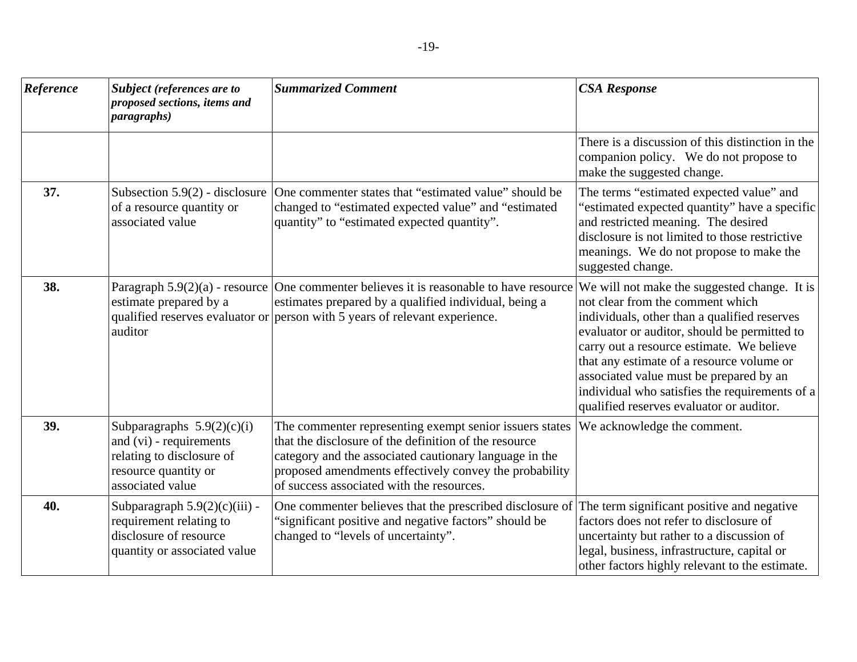| Reference | Subject (references are to<br>proposed sections, items and<br><i>paragraphs</i> )                                                | <b>Summarized Comment</b>                                                                                                                                                                                                                                                         | <b>CSA Response</b>                                                                                                                                                                                                                                                                                                                                                                                                 |
|-----------|----------------------------------------------------------------------------------------------------------------------------------|-----------------------------------------------------------------------------------------------------------------------------------------------------------------------------------------------------------------------------------------------------------------------------------|---------------------------------------------------------------------------------------------------------------------------------------------------------------------------------------------------------------------------------------------------------------------------------------------------------------------------------------------------------------------------------------------------------------------|
|           |                                                                                                                                  |                                                                                                                                                                                                                                                                                   | There is a discussion of this distinction in the<br>companion policy. We do not propose to<br>make the suggested change.                                                                                                                                                                                                                                                                                            |
| 37.       | Subsection $5.9(2)$ - disclosure<br>of a resource quantity or<br>associated value                                                | One commenter states that "estimated value" should be<br>changed to "estimated expected value" and "estimated<br>quantity" to "estimated expected quantity".                                                                                                                      | The terms "estimated expected value" and<br>"estimated expected quantity" have a specific<br>and restricted meaning. The desired<br>disclosure is not limited to those restrictive<br>meanings. We do not propose to make the<br>suggested change.                                                                                                                                                                  |
| 38.       | estimate prepared by a<br>auditor                                                                                                | Paragraph $5.9(2)(a)$ - resource One commenter believes it is reasonable to have resource<br>estimates prepared by a qualified individual, being a<br>qualified reserves evaluator or person with 5 years of relevant experience.                                                 | We will not make the suggested change. It is<br>not clear from the comment which<br>individuals, other than a qualified reserves<br>evaluator or auditor, should be permitted to<br>carry out a resource estimate. We believe<br>that any estimate of a resource volume or<br>associated value must be prepared by an<br>individual who satisfies the requirements of a<br>qualified reserves evaluator or auditor. |
| 39.       | Subparagraphs $5.9(2)(c)(i)$<br>and (vi) - requirements<br>relating to disclosure of<br>resource quantity or<br>associated value | The commenter representing exempt senior issuers states<br>that the disclosure of the definition of the resource<br>category and the associated cautionary language in the<br>proposed amendments effectively convey the probability<br>of success associated with the resources. | We acknowledge the comment.                                                                                                                                                                                                                                                                                                                                                                                         |
| 40.       | Subparagraph $5.9(2)(c)(iii)$ -<br>requirement relating to<br>disclosure of resource<br>quantity or associated value             | One commenter believes that the prescribed disclosure of<br>'significant positive and negative factors" should be<br>changed to "levels of uncertainty".                                                                                                                          | The term significant positive and negative<br>factors does not refer to disclosure of<br>uncertainty but rather to a discussion of<br>legal, business, infrastructure, capital or<br>other factors highly relevant to the estimate.                                                                                                                                                                                 |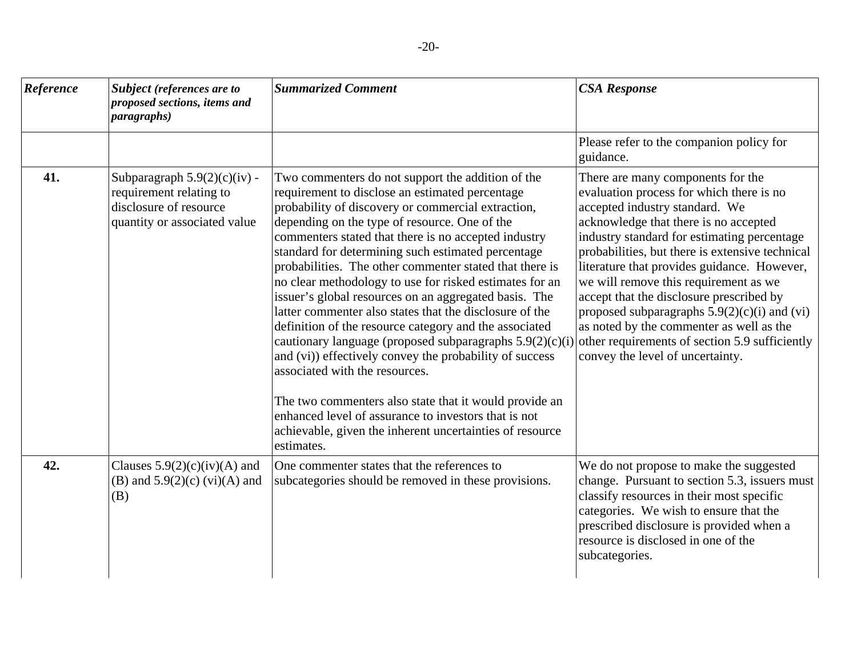| Reference | Subject (references are to<br>proposed sections, items and<br><i>paragraphs</i> )                                   | <b>Summarized Comment</b>                                                                                                                                                                                                                                                                                                                                                                                                                                                                                                                                                                                                                                                                                                                                                                                                                                                                                                                                                              | <b>CSA Response</b>                                                                                                                                                                                                                                                                                                                                                                                                                                                                                                                                                                |
|-----------|---------------------------------------------------------------------------------------------------------------------|----------------------------------------------------------------------------------------------------------------------------------------------------------------------------------------------------------------------------------------------------------------------------------------------------------------------------------------------------------------------------------------------------------------------------------------------------------------------------------------------------------------------------------------------------------------------------------------------------------------------------------------------------------------------------------------------------------------------------------------------------------------------------------------------------------------------------------------------------------------------------------------------------------------------------------------------------------------------------------------|------------------------------------------------------------------------------------------------------------------------------------------------------------------------------------------------------------------------------------------------------------------------------------------------------------------------------------------------------------------------------------------------------------------------------------------------------------------------------------------------------------------------------------------------------------------------------------|
|           |                                                                                                                     |                                                                                                                                                                                                                                                                                                                                                                                                                                                                                                                                                                                                                                                                                                                                                                                                                                                                                                                                                                                        | Please refer to the companion policy for<br>guidance.                                                                                                                                                                                                                                                                                                                                                                                                                                                                                                                              |
| 41.       | Subparagraph $5.9(2)(c)(iv)$ -<br>requirement relating to<br>disclosure of resource<br>quantity or associated value | Two commenters do not support the addition of the<br>requirement to disclose an estimated percentage<br>probability of discovery or commercial extraction,<br>depending on the type of resource. One of the<br>commenters stated that there is no accepted industry<br>standard for determining such estimated percentage<br>probabilities. The other commenter stated that there is<br>no clear methodology to use for risked estimates for an<br>issuer's global resources on an aggregated basis. The<br>latter commenter also states that the disclosure of the<br>definition of the resource category and the associated<br>cautionary language (proposed subparagraphs $5.9(2)(c)(i)$ )<br>and (vi)) effectively convey the probability of success<br>associated with the resources.<br>The two commenters also state that it would provide an<br>enhanced level of assurance to investors that is not<br>achievable, given the inherent uncertainties of resource<br>estimates. | There are many components for the<br>evaluation process for which there is no<br>accepted industry standard. We<br>acknowledge that there is no accepted<br>industry standard for estimating percentage<br>probabilities, but there is extensive technical<br>literature that provides guidance. However,<br>we will remove this requirement as we<br>accept that the disclosure prescribed by<br>proposed subparagraphs $5.9(2)(c)(i)$ and (vi)<br>as noted by the commenter as well as the<br>other requirements of section 5.9 sufficiently<br>convey the level of uncertainty. |
| 42.       | Clauses $5.9(2)(c)(iv)(A)$ and<br>(B) and $5.9(2)(c)$ (vi)(A) and<br>(B)                                            | One commenter states that the references to<br>subcategories should be removed in these provisions.                                                                                                                                                                                                                                                                                                                                                                                                                                                                                                                                                                                                                                                                                                                                                                                                                                                                                    | We do not propose to make the suggested<br>change. Pursuant to section 5.3, issuers must<br>classify resources in their most specific<br>categories. We wish to ensure that the<br>prescribed disclosure is provided when a<br>resource is disclosed in one of the<br>subcategories.                                                                                                                                                                                                                                                                                               |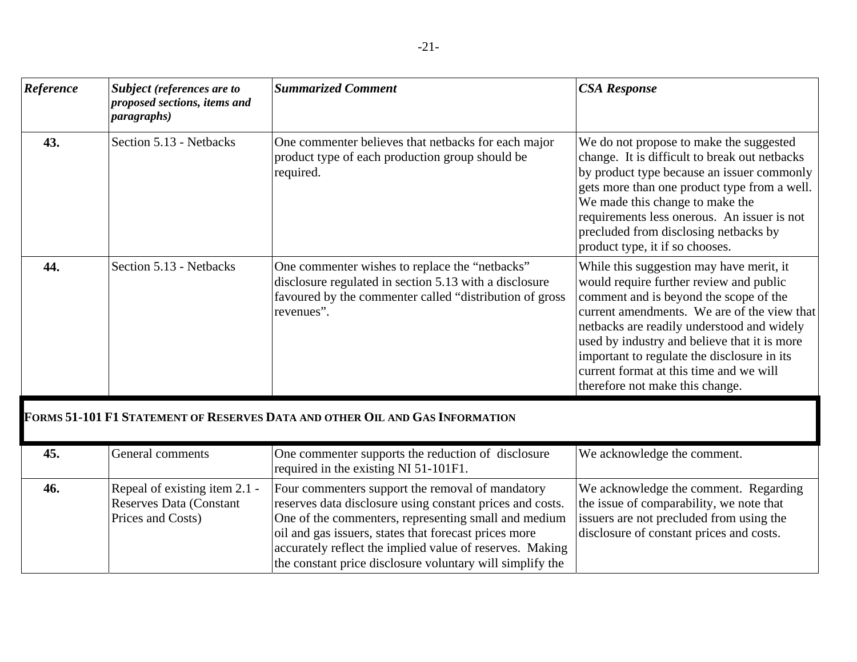| Reference | Subject (references are to<br>proposed sections, items and<br><i>paragraphs</i> )    | <b>Summarized Comment</b>                                                                                                                                                                                                                                                                                                                               | <b>CSA Response</b>                                                                                                                                                                                                                                                                                                                                                                                     |
|-----------|--------------------------------------------------------------------------------------|---------------------------------------------------------------------------------------------------------------------------------------------------------------------------------------------------------------------------------------------------------------------------------------------------------------------------------------------------------|---------------------------------------------------------------------------------------------------------------------------------------------------------------------------------------------------------------------------------------------------------------------------------------------------------------------------------------------------------------------------------------------------------|
| 43.       | Section 5.13 - Netbacks                                                              | One commenter believes that netbacks for each major<br>product type of each production group should be<br>required.                                                                                                                                                                                                                                     | We do not propose to make the suggested<br>change. It is difficult to break out netbacks<br>by product type because an issuer commonly<br>gets more than one product type from a well.<br>We made this change to make the<br>requirements less onerous. An issuer is not<br>precluded from disclosing netbacks by<br>product type, it if so chooses.                                                    |
| 44.       | Section 5.13 - Netbacks                                                              | One commenter wishes to replace the "netbacks"<br>disclosure regulated in section 5.13 with a disclosure<br>favoured by the commenter called "distribution of gross<br>revenues".                                                                                                                                                                       | While this suggestion may have merit, it<br>would require further review and public<br>comment and is beyond the scope of the<br>current amendments. We are of the view that<br>netbacks are readily understood and widely<br>used by industry and believe that it is more<br>important to regulate the disclosure in its<br>current format at this time and we will<br>therefore not make this change. |
|           |                                                                                      | FORMS 51-101 F1 STATEMENT OF RESERVES DATA AND OTHER OIL AND GAS INFORMATION                                                                                                                                                                                                                                                                            |                                                                                                                                                                                                                                                                                                                                                                                                         |
| 45.       | General comments                                                                     | One commenter supports the reduction of disclosure<br>required in the existing NI 51-101F1.                                                                                                                                                                                                                                                             | We acknowledge the comment.                                                                                                                                                                                                                                                                                                                                                                             |
| 46.       | Repeal of existing item 2.1 -<br><b>Reserves Data (Constant</b><br>Prices and Costs) | Four commenters support the removal of mandatory<br>reserves data disclosure using constant prices and costs.<br>One of the commenters, representing small and medium<br>oil and gas issuers, states that forecast prices more<br>accurately reflect the implied value of reserves. Making<br>the constant price disclosure voluntary will simplify the | We acknowledge the comment. Regarding<br>the issue of comparability, we note that<br>issuers are not precluded from using the<br>disclosure of constant prices and costs.                                                                                                                                                                                                                               |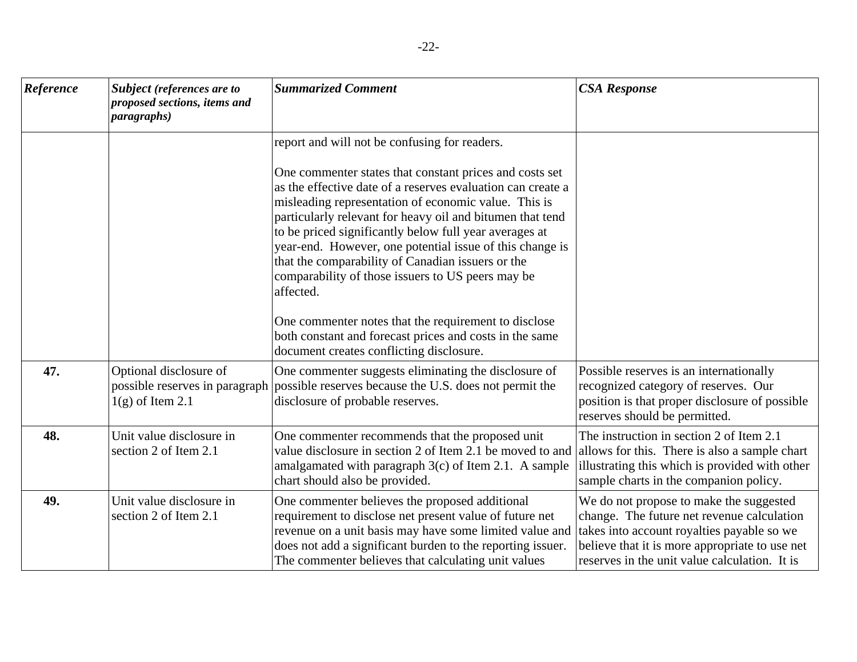| Reference | <b>Subject</b> (references are to<br>proposed sections, items and<br><i>paragraphs</i> ) | <b>Summarized Comment</b>                                                                                                                                                                                                                                                                                                                                                                                                                                                                                                                                                                         | <b>CSA Response</b>                                                                                                                                                                                                                    |
|-----------|------------------------------------------------------------------------------------------|---------------------------------------------------------------------------------------------------------------------------------------------------------------------------------------------------------------------------------------------------------------------------------------------------------------------------------------------------------------------------------------------------------------------------------------------------------------------------------------------------------------------------------------------------------------------------------------------------|----------------------------------------------------------------------------------------------------------------------------------------------------------------------------------------------------------------------------------------|
|           |                                                                                          | report and will not be confusing for readers.<br>One commenter states that constant prices and costs set<br>as the effective date of a reserves evaluation can create a<br>misleading representation of economic value. This is<br>particularly relevant for heavy oil and bitumen that tend<br>to be priced significantly below full year averages at<br>year-end. However, one potential issue of this change is<br>that the comparability of Canadian issuers or the<br>comparability of those issuers to US peers may be<br>affected.<br>One commenter notes that the requirement to disclose |                                                                                                                                                                                                                                        |
|           |                                                                                          | both constant and forecast prices and costs in the same<br>document creates conflicting disclosure.                                                                                                                                                                                                                                                                                                                                                                                                                                                                                               |                                                                                                                                                                                                                                        |
| 47.       | Optional disclosure of<br>$1(g)$ of Item 2.1                                             | One commenter suggests eliminating the disclosure of<br>possible reserves in paragraph possible reserves because the U.S. does not permit the<br>disclosure of probable reserves.                                                                                                                                                                                                                                                                                                                                                                                                                 | Possible reserves is an internationally<br>recognized category of reserves. Our<br>position is that proper disclosure of possible<br>reserves should be permitted.                                                                     |
| 48.       | Unit value disclosure in<br>section 2 of Item 2.1                                        | One commenter recommends that the proposed unit<br>value disclosure in section 2 of Item 2.1 be moved to and allows for this. There is also a sample chart<br>amalgamated with paragraph $3(c)$ of Item 2.1. A sample<br>chart should also be provided.                                                                                                                                                                                                                                                                                                                                           | The instruction in section 2 of Item 2.1<br>illustrating this which is provided with other<br>sample charts in the companion policy.                                                                                                   |
| 49.       | Unit value disclosure in<br>section 2 of Item 2.1                                        | One commenter believes the proposed additional<br>requirement to disclose net present value of future net<br>revenue on a unit basis may have some limited value and<br>does not add a significant burden to the reporting issuer.<br>The commenter believes that calculating unit values                                                                                                                                                                                                                                                                                                         | We do not propose to make the suggested<br>change. The future net revenue calculation<br>takes into account royalties payable so we<br>believe that it is more appropriate to use net<br>reserves in the unit value calculation. It is |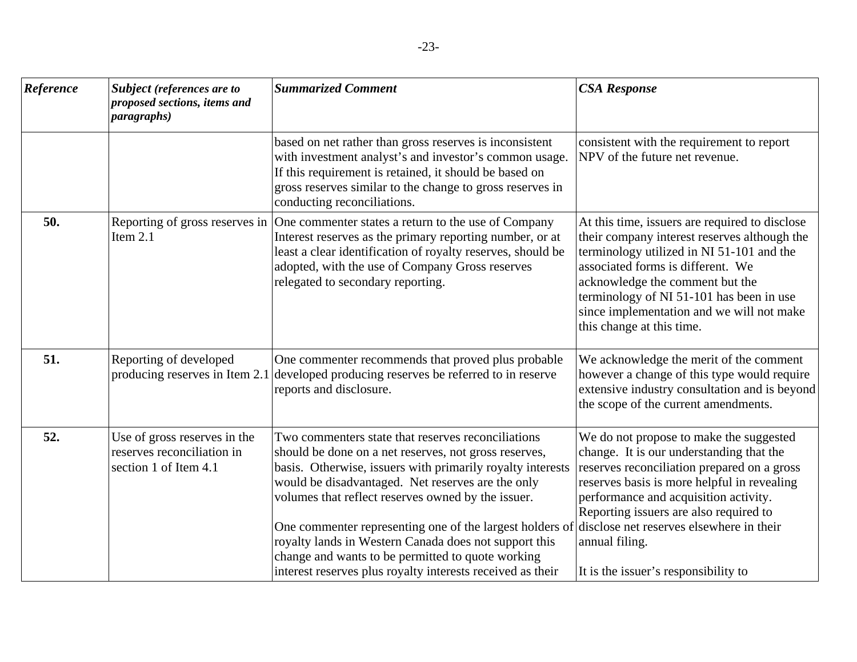| Reference | Subject (references are to<br>proposed sections, items and<br><i>paragraphs</i> )   | <b>Summarized Comment</b>                                                                                                                                                                                                                                                                                                                                                                                                                                                                                                                                             | <b>CSA Response</b>                                                                                                                                                                                                                                                                                                                       |
|-----------|-------------------------------------------------------------------------------------|-----------------------------------------------------------------------------------------------------------------------------------------------------------------------------------------------------------------------------------------------------------------------------------------------------------------------------------------------------------------------------------------------------------------------------------------------------------------------------------------------------------------------------------------------------------------------|-------------------------------------------------------------------------------------------------------------------------------------------------------------------------------------------------------------------------------------------------------------------------------------------------------------------------------------------|
|           |                                                                                     | based on net rather than gross reserves is inconsistent<br>with investment analyst's and investor's common usage.<br>If this requirement is retained, it should be based on<br>gross reserves similar to the change to gross reserves in<br>conducting reconciliations.                                                                                                                                                                                                                                                                                               | consistent with the requirement to report<br>NPV of the future net revenue.                                                                                                                                                                                                                                                               |
| 50.       | Reporting of gross reserves in<br>Item $2.1$                                        | One commenter states a return to the use of Company<br>Interest reserves as the primary reporting number, or at<br>least a clear identification of royalty reserves, should be<br>adopted, with the use of Company Gross reserves<br>relegated to secondary reporting.                                                                                                                                                                                                                                                                                                | At this time, issuers are required to disclose<br>their company interest reserves although the<br>terminology utilized in NI 51-101 and the<br>associated forms is different. We<br>acknowledge the comment but the<br>terminology of NI 51-101 has been in use<br>since implementation and we will not make<br>this change at this time. |
| 51.       | Reporting of developed                                                              | One commenter recommends that proved plus probable<br>producing reserves in Item 2.1 developed producing reserves be referred to in reserve<br>reports and disclosure.                                                                                                                                                                                                                                                                                                                                                                                                | We acknowledge the merit of the comment<br>however a change of this type would require<br>extensive industry consultation and is beyond<br>the scope of the current amendments.                                                                                                                                                           |
| 52.       | Use of gross reserves in the<br>reserves reconciliation in<br>section 1 of Item 4.1 | Two commenters state that reserves reconciliations<br>should be done on a net reserves, not gross reserves,<br>basis. Otherwise, issuers with primarily royalty interests<br>would be disadvantaged. Net reserves are the only<br>volumes that reflect reserves owned by the issuer.<br>One commenter representing one of the largest holders of disclose net reserves elsewhere in their<br>royalty lands in Western Canada does not support this<br>change and wants to be permitted to quote working<br>interest reserves plus royalty interests received as their | We do not propose to make the suggested<br>change. It is our understanding that the<br>reserves reconciliation prepared on a gross<br>reserves basis is more helpful in revealing<br>performance and acquisition activity.<br>Reporting issuers are also required to<br>annual filing.<br>It is the issuer's responsibility to            |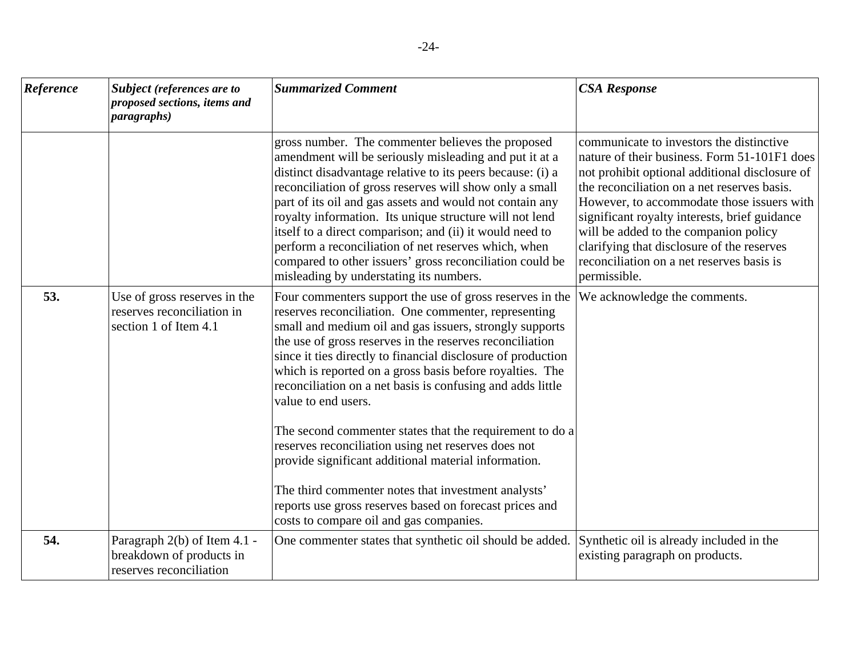| Reference | Subject (references are to<br>proposed sections, items and<br><i>paragraphs</i> )   | <b>Summarized Comment</b>                                                                                                                                                                                                                                                                                                                                                                                                                                                                                                                                                                                                                                                                                                                                                                        | <b>CSA Response</b>                                                                                                                                                                                                                                                                                                                                                                                                                          |
|-----------|-------------------------------------------------------------------------------------|--------------------------------------------------------------------------------------------------------------------------------------------------------------------------------------------------------------------------------------------------------------------------------------------------------------------------------------------------------------------------------------------------------------------------------------------------------------------------------------------------------------------------------------------------------------------------------------------------------------------------------------------------------------------------------------------------------------------------------------------------------------------------------------------------|----------------------------------------------------------------------------------------------------------------------------------------------------------------------------------------------------------------------------------------------------------------------------------------------------------------------------------------------------------------------------------------------------------------------------------------------|
|           |                                                                                     | gross number. The commenter believes the proposed<br>amendment will be seriously misleading and put it at a<br>distinct disadvantage relative to its peers because: (i) a<br>reconciliation of gross reserves will show only a small<br>part of its oil and gas assets and would not contain any<br>royalty information. Its unique structure will not lend<br>itself to a direct comparison; and (ii) it would need to<br>perform a reconciliation of net reserves which, when<br>compared to other issuers' gross reconciliation could be<br>misleading by understating its numbers.                                                                                                                                                                                                           | communicate to investors the distinctive<br>nature of their business. Form 51-101F1 does<br>not prohibit optional additional disclosure of<br>the reconciliation on a net reserves basis.<br>However, to accommodate those issuers with<br>significant royalty interests, brief guidance<br>will be added to the companion policy<br>clarifying that disclosure of the reserves<br>reconciliation on a net reserves basis is<br>permissible. |
| 53.       | Use of gross reserves in the<br>reserves reconciliation in<br>section 1 of Item 4.1 | Four commenters support the use of gross reserves in the<br>reserves reconciliation. One commenter, representing<br>small and medium oil and gas issuers, strongly supports<br>the use of gross reserves in the reserves reconciliation<br>since it ties directly to financial disclosure of production<br>which is reported on a gross basis before royalties. The<br>reconciliation on a net basis is confusing and adds little<br>value to end users.<br>The second commenter states that the requirement to do a<br>reserves reconciliation using net reserves does not<br>provide significant additional material information.<br>The third commenter notes that investment analysts'<br>reports use gross reserves based on forecast prices and<br>costs to compare oil and gas companies. | We acknowledge the comments.                                                                                                                                                                                                                                                                                                                                                                                                                 |
| 54.       | Paragraph 2(b) of Item 4.1 -<br>breakdown of products in<br>reserves reconciliation | One commenter states that synthetic oil should be added.                                                                                                                                                                                                                                                                                                                                                                                                                                                                                                                                                                                                                                                                                                                                         | Synthetic oil is already included in the<br>existing paragraph on products.                                                                                                                                                                                                                                                                                                                                                                  |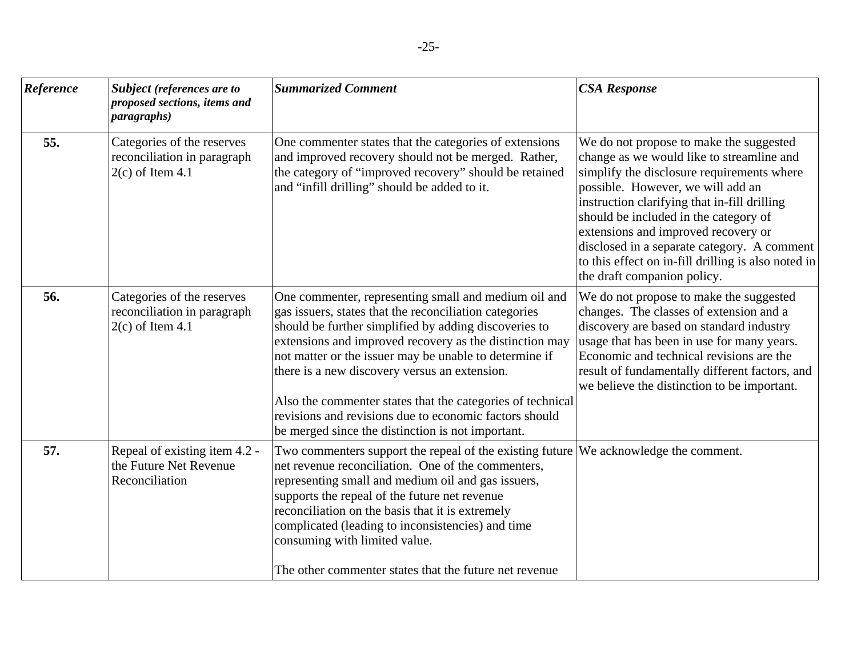| Reference | Subject (references are to<br>proposed sections, items and<br><i>paragraphs</i> ) | <b>Summarized Comment</b>                                                                                                                                                                                                                                                                                                                                                                                                                                                                                                  | <b>CSA Response</b>                                                                                                                                                                                                                                                                                                                                                                                                                          |
|-----------|-----------------------------------------------------------------------------------|----------------------------------------------------------------------------------------------------------------------------------------------------------------------------------------------------------------------------------------------------------------------------------------------------------------------------------------------------------------------------------------------------------------------------------------------------------------------------------------------------------------------------|----------------------------------------------------------------------------------------------------------------------------------------------------------------------------------------------------------------------------------------------------------------------------------------------------------------------------------------------------------------------------------------------------------------------------------------------|
| 55.       | Categories of the reserves<br>reconciliation in paragraph<br>$2(c)$ of Item 4.1   | One commenter states that the categories of extensions<br>and improved recovery should not be merged. Rather,<br>the category of "improved recovery" should be retained<br>and "infill drilling" should be added to it.                                                                                                                                                                                                                                                                                                    | We do not propose to make the suggested<br>change as we would like to streamline and<br>simplify the disclosure requirements where<br>possible. However, we will add an<br>instruction clarifying that in-fill drilling<br>should be included in the category of<br>extensions and improved recovery or<br>disclosed in a separate category. A comment<br>to this effect on in-fill drilling is also noted in<br>the draft companion policy. |
| 56.       | Categories of the reserves<br>reconciliation in paragraph<br>$2(c)$ of Item 4.1   | One commenter, representing small and medium oil and<br>gas issuers, states that the reconciliation categories<br>should be further simplified by adding discoveries to<br>extensions and improved recovery as the distinction may<br>not matter or the issuer may be unable to determine if<br>there is a new discovery versus an extension.<br>Also the commenter states that the categories of technical<br>revisions and revisions due to economic factors should<br>be merged since the distinction is not important. | We do not propose to make the suggested<br>changes. The classes of extension and a<br>discovery are based on standard industry<br>usage that has been in use for many years.<br>Economic and technical revisions are the<br>result of fundamentally different factors, and<br>we believe the distinction to be important.                                                                                                                    |
| 57.       | Repeal of existing item 4.2 -<br>the Future Net Revenue<br>Reconciliation         | Two commenters support the repeal of the existing future We acknowledge the comment.<br>net revenue reconciliation. One of the commenters,<br>representing small and medium oil and gas issuers,<br>supports the repeal of the future net revenue<br>reconciliation on the basis that it is extremely<br>complicated (leading to inconsistencies) and time<br>consuming with limited value.<br>The other commenter states that the future net revenue                                                                      |                                                                                                                                                                                                                                                                                                                                                                                                                                              |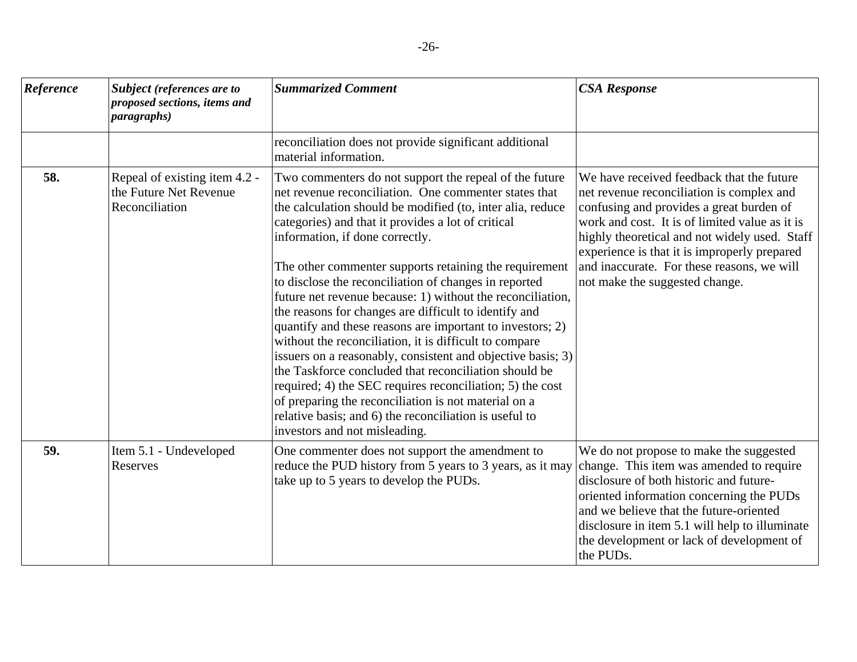| Reference | Subject (references are to<br>proposed sections, items and<br><i>paragraphs</i> ) | <b>Summarized Comment</b>                                                                                                                                                                                                                                                                                                                                                                                                                                                                                                                                                                                                                                                                                                                                                                                                                                                                                                                                                       | <b>CSA Response</b>                                                                                                                                                                                                                                                                                                                                                   |
|-----------|-----------------------------------------------------------------------------------|---------------------------------------------------------------------------------------------------------------------------------------------------------------------------------------------------------------------------------------------------------------------------------------------------------------------------------------------------------------------------------------------------------------------------------------------------------------------------------------------------------------------------------------------------------------------------------------------------------------------------------------------------------------------------------------------------------------------------------------------------------------------------------------------------------------------------------------------------------------------------------------------------------------------------------------------------------------------------------|-----------------------------------------------------------------------------------------------------------------------------------------------------------------------------------------------------------------------------------------------------------------------------------------------------------------------------------------------------------------------|
|           |                                                                                   | reconciliation does not provide significant additional<br>material information.                                                                                                                                                                                                                                                                                                                                                                                                                                                                                                                                                                                                                                                                                                                                                                                                                                                                                                 |                                                                                                                                                                                                                                                                                                                                                                       |
| 58.       | Repeal of existing item 4.2 -<br>the Future Net Revenue<br>Reconciliation         | Two commenters do not support the repeal of the future<br>net revenue reconciliation. One commenter states that<br>the calculation should be modified (to, inter alia, reduce<br>categories) and that it provides a lot of critical<br>information, if done correctly.<br>The other commenter supports retaining the requirement<br>to disclose the reconciliation of changes in reported<br>future net revenue because: 1) without the reconciliation,<br>the reasons for changes are difficult to identify and<br>quantify and these reasons are important to investors; 2)<br>without the reconciliation, it is difficult to compare<br>issuers on a reasonably, consistent and objective basis; 3)<br>the Taskforce concluded that reconciliation should be<br>required; 4) the SEC requires reconciliation; 5) the cost<br>of preparing the reconciliation is not material on a<br>relative basis; and 6) the reconciliation is useful to<br>investors and not misleading. | We have received feedback that the future<br>net revenue reconciliation is complex and<br>confusing and provides a great burden of<br>work and cost. It is of limited value as it is<br>highly theoretical and not widely used. Staff<br>experience is that it is improperly prepared<br>and inaccurate. For these reasons, we will<br>not make the suggested change. |
| 59.       | Item 5.1 - Undeveloped<br>Reserves                                                | One commenter does not support the amendment to<br>reduce the PUD history from 5 years to 3 years, as it may<br>take up to 5 years to develop the PUDs.                                                                                                                                                                                                                                                                                                                                                                                                                                                                                                                                                                                                                                                                                                                                                                                                                         | We do not propose to make the suggested<br>change. This item was amended to require<br>disclosure of both historic and future-<br>oriented information concerning the PUDs<br>and we believe that the future-oriented<br>disclosure in item 5.1 will help to illuminate<br>the development or lack of development of<br>the PUDs.                                     |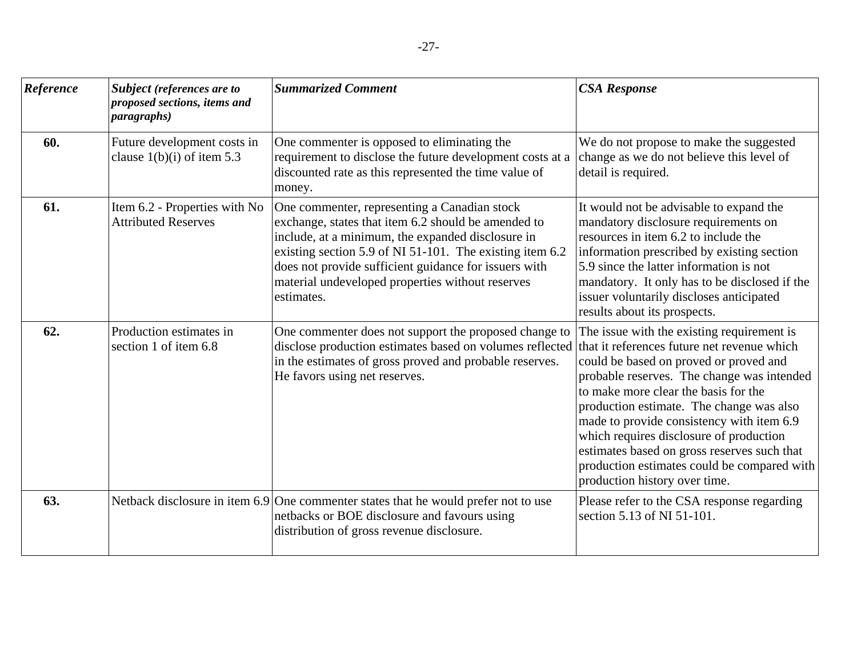| Reference | Subject (references are to<br>proposed sections, items and<br><i>paragraphs</i> ) | <b>Summarized Comment</b>                                                                                                                                                                                                                                                                                                                       | <b>CSA Response</b>                                                                                                                                                                                                                                                                                                                                                                                                                                                                          |
|-----------|-----------------------------------------------------------------------------------|-------------------------------------------------------------------------------------------------------------------------------------------------------------------------------------------------------------------------------------------------------------------------------------------------------------------------------------------------|----------------------------------------------------------------------------------------------------------------------------------------------------------------------------------------------------------------------------------------------------------------------------------------------------------------------------------------------------------------------------------------------------------------------------------------------------------------------------------------------|
| 60.       | Future development costs in<br>clause $1(b)(i)$ of item 5.3                       | One commenter is opposed to eliminating the<br>requirement to disclose the future development costs at a<br>discounted rate as this represented the time value of<br>money.                                                                                                                                                                     | We do not propose to make the suggested<br>change as we do not believe this level of<br>detail is required.                                                                                                                                                                                                                                                                                                                                                                                  |
| 61.       | Item 6.2 - Properties with No<br><b>Attributed Reserves</b>                       | One commenter, representing a Canadian stock<br>exchange, states that item 6.2 should be amended to<br>include, at a minimum, the expanded disclosure in<br>existing section 5.9 of NI 51-101. The existing item 6.2<br>does not provide sufficient guidance for issuers with<br>material undeveloped properties without reserves<br>estimates. | It would not be advisable to expand the<br>mandatory disclosure requirements on<br>resources in item 6.2 to include the<br>information prescribed by existing section<br>5.9 since the latter information is not<br>mandatory. It only has to be disclosed if the<br>issuer voluntarily discloses anticipated<br>results about its prospects.                                                                                                                                                |
| 62.       | Production estimates in<br>section 1 of item 6.8                                  | One commenter does not support the proposed change to<br>disclose production estimates based on volumes reflected<br>in the estimates of gross proved and probable reserves.<br>He favors using net reserves.                                                                                                                                   | The issue with the existing requirement is<br>that it references future net revenue which<br>could be based on proved or proved and<br>probable reserves. The change was intended<br>to make more clear the basis for the<br>production estimate. The change was also<br>made to provide consistency with item 6.9<br>which requires disclosure of production<br>estimates based on gross reserves such that<br>production estimates could be compared with<br>production history over time. |
| 63.       |                                                                                   | Netback disclosure in item 6.9 One commenter states that he would prefer not to use<br>netbacks or BOE disclosure and favours using<br>distribution of gross revenue disclosure.                                                                                                                                                                | Please refer to the CSA response regarding<br>section 5.13 of NI 51-101.                                                                                                                                                                                                                                                                                                                                                                                                                     |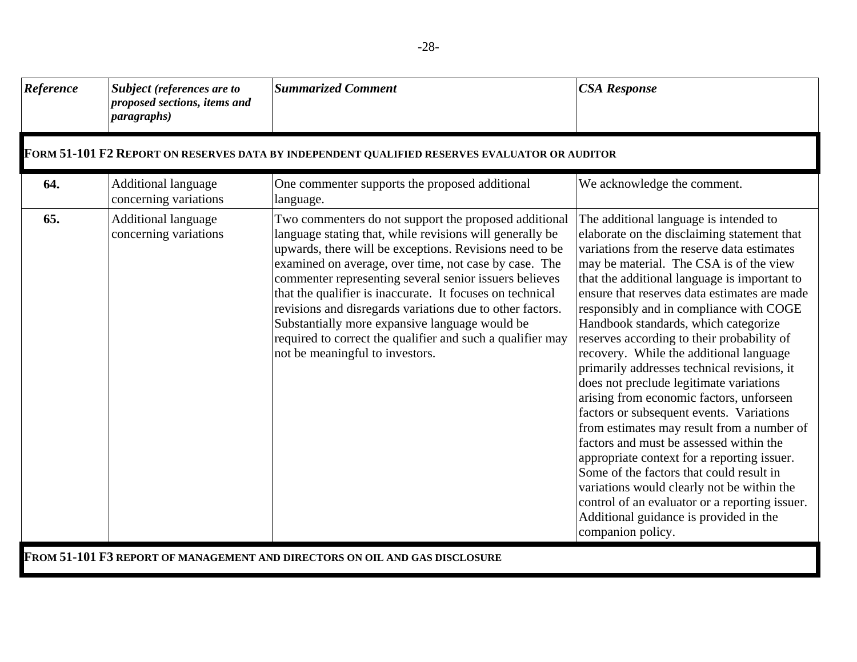| Reference | Subject (references are to<br>proposed sections, items and<br><i>paragraphs</i> ) | <b>Summarized Comment</b>                                                                                                                                                                                                                                                                                                                                                                                                                                                                                                                                                    | <b>CSA Response</b>                                                                                                                                                                                                                                                                                                                                                                                                                                                                                                                                                                                                                                                                                                                                                                                                                                                                                                                                                                             |  |  |
|-----------|-----------------------------------------------------------------------------------|------------------------------------------------------------------------------------------------------------------------------------------------------------------------------------------------------------------------------------------------------------------------------------------------------------------------------------------------------------------------------------------------------------------------------------------------------------------------------------------------------------------------------------------------------------------------------|-------------------------------------------------------------------------------------------------------------------------------------------------------------------------------------------------------------------------------------------------------------------------------------------------------------------------------------------------------------------------------------------------------------------------------------------------------------------------------------------------------------------------------------------------------------------------------------------------------------------------------------------------------------------------------------------------------------------------------------------------------------------------------------------------------------------------------------------------------------------------------------------------------------------------------------------------------------------------------------------------|--|--|
|           |                                                                                   | FORM 51-101 F2 REPORT ON RESERVES DATA BY INDEPENDENT QUALIFIED RESERVES EVALUATOR OR AUDITOR                                                                                                                                                                                                                                                                                                                                                                                                                                                                                |                                                                                                                                                                                                                                                                                                                                                                                                                                                                                                                                                                                                                                                                                                                                                                                                                                                                                                                                                                                                 |  |  |
| 64.       | <b>Additional language</b><br>concerning variations                               | One commenter supports the proposed additional<br>language.                                                                                                                                                                                                                                                                                                                                                                                                                                                                                                                  | We acknowledge the comment.                                                                                                                                                                                                                                                                                                                                                                                                                                                                                                                                                                                                                                                                                                                                                                                                                                                                                                                                                                     |  |  |
| 65.       | <b>Additional language</b><br>concerning variations                               | Two commenters do not support the proposed additional<br>language stating that, while revisions will generally be<br>upwards, there will be exceptions. Revisions need to be<br>examined on average, over time, not case by case. The<br>commenter representing several senior issuers believes<br>that the qualifier is inaccurate. It focuses on technical<br>revisions and disregards variations due to other factors.<br>Substantially more expansive language would be<br>required to correct the qualifier and such a qualifier may<br>not be meaningful to investors. | The additional language is intended to<br>elaborate on the disclaiming statement that<br>variations from the reserve data estimates<br>may be material. The CSA is of the view<br>that the additional language is important to<br>ensure that reserves data estimates are made<br>responsibly and in compliance with COGE<br>Handbook standards, which categorize<br>reserves according to their probability of<br>recovery. While the additional language<br>primarily addresses technical revisions, it<br>does not preclude legitimate variations<br>arising from economic factors, unforseen<br>factors or subsequent events. Variations<br>from estimates may result from a number of<br>factors and must be assessed within the<br>appropriate context for a reporting issuer.<br>Some of the factors that could result in<br>variations would clearly not be within the<br>control of an evaluator or a reporting issuer.<br>Additional guidance is provided in the<br>companion policy. |  |  |
|           | FROM 51-101 F3 REPORT OF MANAGEMENT AND DIRECTORS ON OIL AND GAS DISCLOSURE       |                                                                                                                                                                                                                                                                                                                                                                                                                                                                                                                                                                              |                                                                                                                                                                                                                                                                                                                                                                                                                                                                                                                                                                                                                                                                                                                                                                                                                                                                                                                                                                                                 |  |  |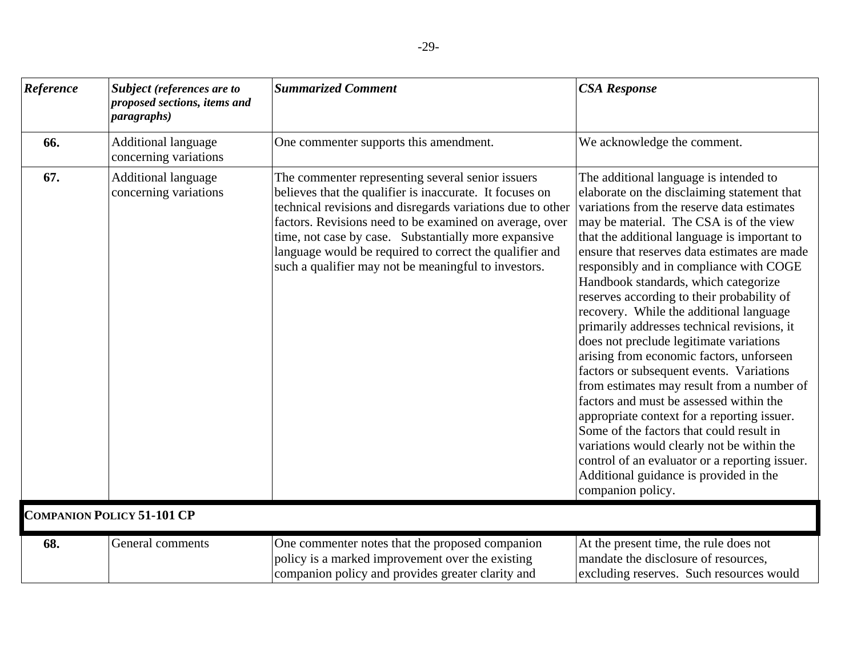| Reference | Subject (references are to<br>proposed sections, items and<br><i>paragraphs</i> ) | <b>Summarized Comment</b>                                                                                                                                                                                                                                                                                                                                                                                         | <b>CSA Response</b>                                                                                                                                                                                                                                                                                                                                                                                                                                                                                                                                                                                                                                                                                                                                                                                                                                                                                                                                                                             |
|-----------|-----------------------------------------------------------------------------------|-------------------------------------------------------------------------------------------------------------------------------------------------------------------------------------------------------------------------------------------------------------------------------------------------------------------------------------------------------------------------------------------------------------------|-------------------------------------------------------------------------------------------------------------------------------------------------------------------------------------------------------------------------------------------------------------------------------------------------------------------------------------------------------------------------------------------------------------------------------------------------------------------------------------------------------------------------------------------------------------------------------------------------------------------------------------------------------------------------------------------------------------------------------------------------------------------------------------------------------------------------------------------------------------------------------------------------------------------------------------------------------------------------------------------------|
| 66.       | <b>Additional language</b><br>concerning variations                               | One commenter supports this amendment.                                                                                                                                                                                                                                                                                                                                                                            | We acknowledge the comment.                                                                                                                                                                                                                                                                                                                                                                                                                                                                                                                                                                                                                                                                                                                                                                                                                                                                                                                                                                     |
| 67.       | <b>Additional language</b><br>concerning variations                               | The commenter representing several senior issuers<br>believes that the qualifier is inaccurate. It focuses on<br>technical revisions and disregards variations due to other<br>factors. Revisions need to be examined on average, over<br>time, not case by case. Substantially more expansive<br>language would be required to correct the qualifier and<br>such a qualifier may not be meaningful to investors. | The additional language is intended to<br>elaborate on the disclaiming statement that<br>variations from the reserve data estimates<br>may be material. The CSA is of the view<br>that the additional language is important to<br>ensure that reserves data estimates are made<br>responsibly and in compliance with COGE<br>Handbook standards, which categorize<br>reserves according to their probability of<br>recovery. While the additional language<br>primarily addresses technical revisions, it<br>does not preclude legitimate variations<br>arising from economic factors, unforseen<br>factors or subsequent events. Variations<br>from estimates may result from a number of<br>factors and must be assessed within the<br>appropriate context for a reporting issuer.<br>Some of the factors that could result in<br>variations would clearly not be within the<br>control of an evaluator or a reporting issuer.<br>Additional guidance is provided in the<br>companion policy. |
|           | <b>COMPANION POLICY 51-101 CP</b>                                                 |                                                                                                                                                                                                                                                                                                                                                                                                                   |                                                                                                                                                                                                                                                                                                                                                                                                                                                                                                                                                                                                                                                                                                                                                                                                                                                                                                                                                                                                 |
| 68.       | General comments                                                                  | One commenter notes that the proposed companion<br>policy is a marked improvement over the existing<br>companion policy and provides greater clarity and                                                                                                                                                                                                                                                          | At the present time, the rule does not<br>mandate the disclosure of resources,<br>excluding reserves. Such resources would                                                                                                                                                                                                                                                                                                                                                                                                                                                                                                                                                                                                                                                                                                                                                                                                                                                                      |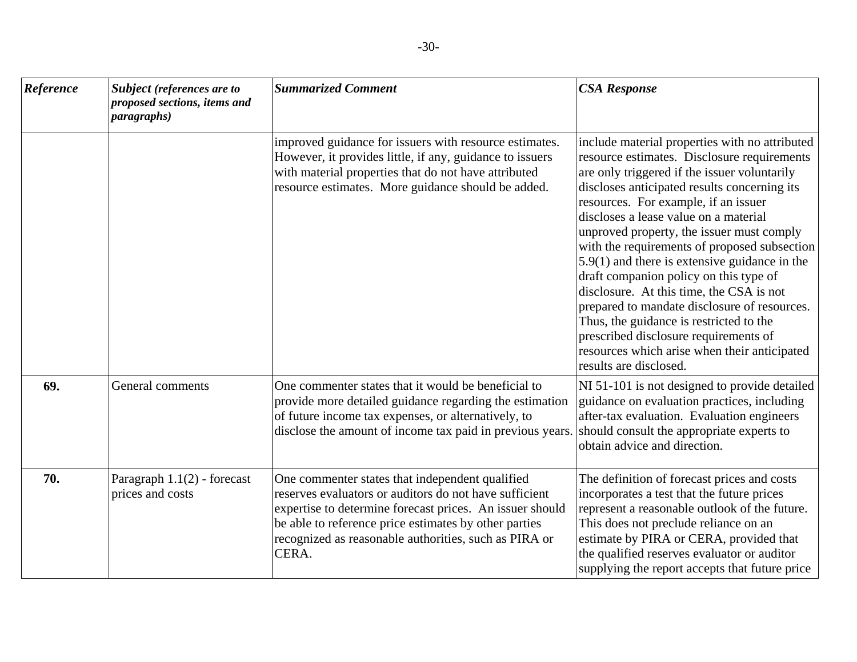| Reference | Subject (references are to<br>proposed sections, items and<br><i>paragraphs</i> ) | <b>Summarized Comment</b>                                                                                                                                                                                                                                                                        | <b>CSA Response</b>                                                                                                                                                                                                                                                                                                                                                                                                                                                                                                                                                                                                                                                                                                                |
|-----------|-----------------------------------------------------------------------------------|--------------------------------------------------------------------------------------------------------------------------------------------------------------------------------------------------------------------------------------------------------------------------------------------------|------------------------------------------------------------------------------------------------------------------------------------------------------------------------------------------------------------------------------------------------------------------------------------------------------------------------------------------------------------------------------------------------------------------------------------------------------------------------------------------------------------------------------------------------------------------------------------------------------------------------------------------------------------------------------------------------------------------------------------|
|           |                                                                                   | improved guidance for issuers with resource estimates.<br>However, it provides little, if any, guidance to issuers<br>with material properties that do not have attributed<br>resource estimates. More guidance should be added.                                                                 | include material properties with no attributed<br>resource estimates. Disclosure requirements<br>are only triggered if the issuer voluntarily<br>discloses anticipated results concerning its<br>resources. For example, if an issuer<br>discloses a lease value on a material<br>unproved property, the issuer must comply<br>with the requirements of proposed subsection<br>$5.9(1)$ and there is extensive guidance in the<br>draft companion policy on this type of<br>disclosure. At this time, the CSA is not<br>prepared to mandate disclosure of resources.<br>Thus, the guidance is restricted to the<br>prescribed disclosure requirements of<br>resources which arise when their anticipated<br>results are disclosed. |
| 69.       | General comments                                                                  | One commenter states that it would be beneficial to<br>provide more detailed guidance regarding the estimation<br>of future income tax expenses, or alternatively, to<br>disclose the amount of income tax paid in previous years.                                                               | NI 51-101 is not designed to provide detailed<br>guidance on evaluation practices, including<br>after-tax evaluation. Evaluation engineers<br>should consult the appropriate experts to<br>obtain advice and direction.                                                                                                                                                                                                                                                                                                                                                                                                                                                                                                            |
| 70.       | Paragraph $1.1(2)$ - forecast<br>prices and costs                                 | One commenter states that independent qualified<br>reserves evaluators or auditors do not have sufficient<br>expertise to determine forecast prices. An issuer should<br>be able to reference price estimates by other parties<br>recognized as reasonable authorities, such as PIRA or<br>CERA. | The definition of forecast prices and costs<br>incorporates a test that the future prices<br>represent a reasonable outlook of the future.<br>This does not preclude reliance on an<br>estimate by PIRA or CERA, provided that<br>the qualified reserves evaluator or auditor<br>supplying the report accepts that future price                                                                                                                                                                                                                                                                                                                                                                                                    |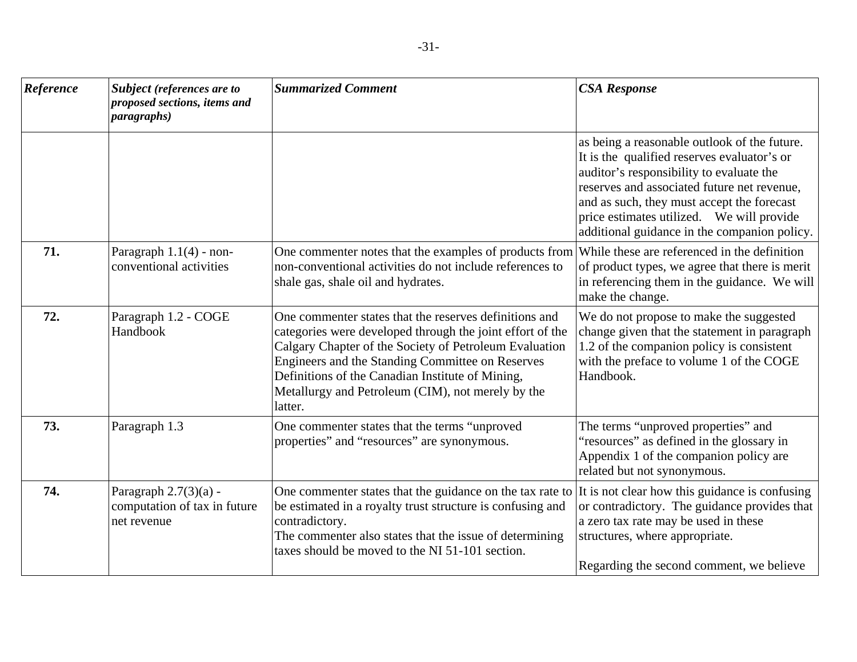| Reference | Subject (references are to<br>proposed sections, items and<br><i>paragraphs</i> ) | <b>Summarized Comment</b>                                                                                                                                                                                                                                                                                                                             | <b>CSA Response</b>                                                                                                                                                                                                                                                                                                               |
|-----------|-----------------------------------------------------------------------------------|-------------------------------------------------------------------------------------------------------------------------------------------------------------------------------------------------------------------------------------------------------------------------------------------------------------------------------------------------------|-----------------------------------------------------------------------------------------------------------------------------------------------------------------------------------------------------------------------------------------------------------------------------------------------------------------------------------|
|           |                                                                                   |                                                                                                                                                                                                                                                                                                                                                       | as being a reasonable outlook of the future.<br>It is the qualified reserves evaluator's or<br>auditor's responsibility to evaluate the<br>reserves and associated future net revenue,<br>and as such, they must accept the forecast<br>price estimates utilized. We will provide<br>additional guidance in the companion policy. |
| 71.       | Paragraph $1.1(4)$ - non-<br>conventional activities                              | One commenter notes that the examples of products from<br>non-conventional activities do not include references to<br>shale gas, shale oil and hydrates.                                                                                                                                                                                              | While these are referenced in the definition<br>of product types, we agree that there is merit<br>in referencing them in the guidance. We will<br>make the change.                                                                                                                                                                |
| 72.       | Paragraph 1.2 - COGE<br>Handbook                                                  | One commenter states that the reserves definitions and<br>categories were developed through the joint effort of the<br>Calgary Chapter of the Society of Petroleum Evaluation<br>Engineers and the Standing Committee on Reserves<br>Definitions of the Canadian Institute of Mining,<br>Metallurgy and Petroleum (CIM), not merely by the<br>latter. | We do not propose to make the suggested<br>change given that the statement in paragraph<br>1.2 of the companion policy is consistent<br>with the preface to volume 1 of the COGE<br>Handbook.                                                                                                                                     |
| 73.       | Paragraph 1.3                                                                     | One commenter states that the terms "unproved<br>properties" and "resources" are synonymous.                                                                                                                                                                                                                                                          | The terms "unproved properties" and<br>"resources" as defined in the glossary in<br>Appendix 1 of the companion policy are<br>related but not synonymous.                                                                                                                                                                         |
| 74.       | Paragraph $2.7(3)(a)$ -<br>computation of tax in future<br>net revenue            | One commenter states that the guidance on the tax rate to<br>be estimated in a royalty trust structure is confusing and<br>contradictory.<br>The commenter also states that the issue of determining<br>taxes should be moved to the NI 51-101 section.                                                                                               | It is not clear how this guidance is confusing<br>or contradictory. The guidance provides that<br>a zero tax rate may be used in these<br>structures, where appropriate.<br>Regarding the second comment, we believe                                                                                                              |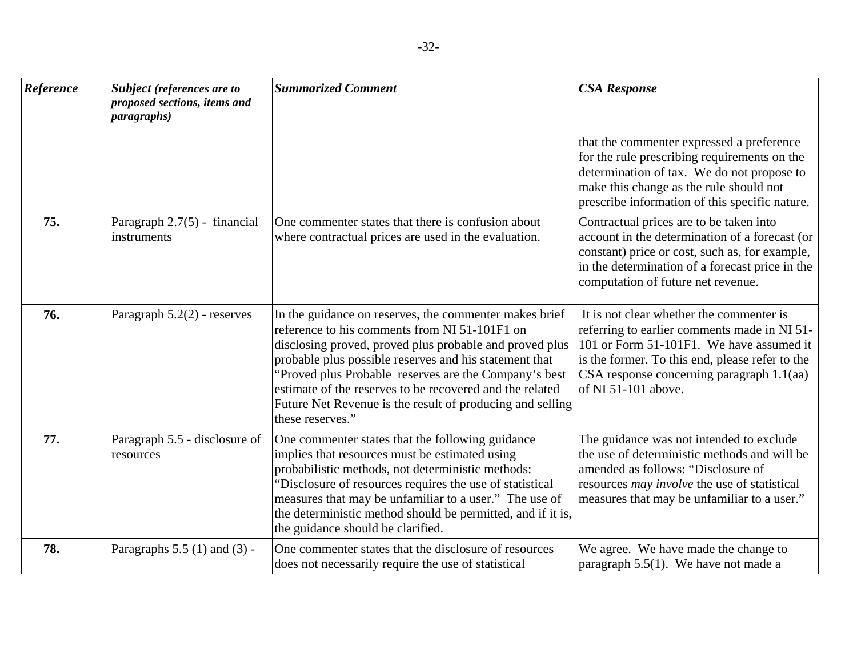| Reference | Subject (references are to<br>proposed sections, items and<br><i>paragraphs</i> ) | <b>Summarized Comment</b>                                                                                                                                                                                                                                                                                                                                                                                                          | <b>CSA Response</b>                                                                                                                                                                                                                                              |
|-----------|-----------------------------------------------------------------------------------|------------------------------------------------------------------------------------------------------------------------------------------------------------------------------------------------------------------------------------------------------------------------------------------------------------------------------------------------------------------------------------------------------------------------------------|------------------------------------------------------------------------------------------------------------------------------------------------------------------------------------------------------------------------------------------------------------------|
|           |                                                                                   |                                                                                                                                                                                                                                                                                                                                                                                                                                    | that the commenter expressed a preference<br>for the rule prescribing requirements on the<br>determination of tax. We do not propose to<br>make this change as the rule should not<br>prescribe information of this specific nature.                             |
| 75.       | Paragraph 2.7(5) - financial<br>instruments                                       | One commenter states that there is confusion about<br>where contractual prices are used in the evaluation.                                                                                                                                                                                                                                                                                                                         | Contractual prices are to be taken into<br>account in the determination of a forecast (or<br>constant) price or cost, such as, for example,<br>in the determination of a forecast price in the<br>computation of future net revenue.                             |
| 76.       | Paragraph $5.2(2)$ - reserves                                                     | In the guidance on reserves, the commenter makes brief<br>reference to his comments from NI 51-101F1 on<br>disclosing proved, proved plus probable and proved plus<br>probable plus possible reserves and his statement that<br>"Proved plus Probable reserves are the Company's best<br>estimate of the reserves to be recovered and the related<br>Future Net Revenue is the result of producing and selling<br>these reserves." | It is not clear whether the commenter is<br>referring to earlier comments made in NI 51-<br>101 or Form 51-101F1. We have assumed it<br>is the former. To this end, please refer to the<br>$CSA$ response concerning paragraph $1.1$ (aa)<br>of NI 51-101 above. |
| 77.       | Paragraph 5.5 - disclosure of<br>resources                                        | One commenter states that the following guidance<br>implies that resources must be estimated using<br>probabilistic methods, not deterministic methods:<br>"Disclosure of resources requires the use of statistical<br>measures that may be unfamiliar to a user." The use of<br>the deterministic method should be permitted, and if it is,<br>the guidance should be clarified.                                                  | The guidance was not intended to exclude<br>the use of deterministic methods and will be<br>amended as follows: "Disclosure of<br>resources <i>may involve</i> the use of statistical<br>measures that may be unfamiliar to a user."                             |
| 78.       | Paragraphs $5.5$ (1) and (3) -                                                    | One commenter states that the disclosure of resources<br>does not necessarily require the use of statistical                                                                                                                                                                                                                                                                                                                       | We agree. We have made the change to<br>paragraph $5.5(1)$ . We have not made a                                                                                                                                                                                  |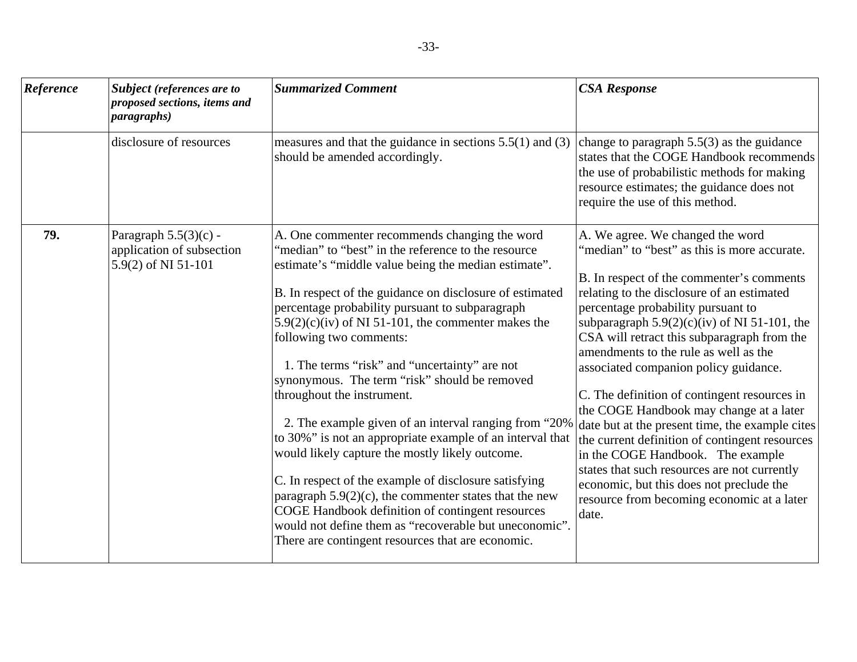| Reference | <b>Subject</b> (references are to<br>proposed sections, items and<br><i>paragraphs</i> ) | <b>Summarized Comment</b>                                                                                                                                                                                                                                                                                                                                                                                                                                                                                                                                                                                                                                                                                                                                                                                                                                                                                                                                          | <b>CSA Response</b>                                                                                                                                                                                                                                                                                                                                                                                                                                                                                                                                                                                                                                                                                                                                                                           |
|-----------|------------------------------------------------------------------------------------------|--------------------------------------------------------------------------------------------------------------------------------------------------------------------------------------------------------------------------------------------------------------------------------------------------------------------------------------------------------------------------------------------------------------------------------------------------------------------------------------------------------------------------------------------------------------------------------------------------------------------------------------------------------------------------------------------------------------------------------------------------------------------------------------------------------------------------------------------------------------------------------------------------------------------------------------------------------------------|-----------------------------------------------------------------------------------------------------------------------------------------------------------------------------------------------------------------------------------------------------------------------------------------------------------------------------------------------------------------------------------------------------------------------------------------------------------------------------------------------------------------------------------------------------------------------------------------------------------------------------------------------------------------------------------------------------------------------------------------------------------------------------------------------|
|           | disclosure of resources                                                                  | measures and that the guidance in sections $5.5(1)$ and $(3)$<br>should be amended accordingly.                                                                                                                                                                                                                                                                                                                                                                                                                                                                                                                                                                                                                                                                                                                                                                                                                                                                    | change to paragraph $5.5(3)$ as the guidance<br>states that the COGE Handbook recommends<br>the use of probabilistic methods for making<br>resource estimates; the guidance does not<br>require the use of this method.                                                                                                                                                                                                                                                                                                                                                                                                                                                                                                                                                                       |
| 79.       | Paragraph $5.5(3)(c)$ -<br>application of subsection<br>5.9(2) of NI 51-101              | A. One commenter recommends changing the word<br>"median" to "best" in the reference to the resource<br>estimate's "middle value being the median estimate".<br>B. In respect of the guidance on disclosure of estimated<br>percentage probability pursuant to subparagraph<br>$5.9(2)(c)(iv)$ of NI 51-101, the commenter makes the<br>following two comments:<br>1. The terms "risk" and "uncertainty" are not<br>synonymous. The term "risk" should be removed<br>throughout the instrument.<br>2. The example given of an interval ranging from "20%"<br>to 30%" is not an appropriate example of an interval that<br>would likely capture the mostly likely outcome.<br>C. In respect of the example of disclosure satisfying<br>paragraph $5.9(2)(c)$ , the commenter states that the new<br>COGE Handbook definition of contingent resources<br>would not define them as "recoverable but uneconomic".<br>There are contingent resources that are economic. | A. We agree. We changed the word<br>'median'' to "best" as this is more accurate.<br>B. In respect of the commenter's comments<br>relating to the disclosure of an estimated<br>percentage probability pursuant to<br>subparagraph $5.9(2)(c)(iv)$ of NI 51-101, the<br>CSA will retract this subparagraph from the<br>amendments to the rule as well as the<br>associated companion policy guidance.<br>C. The definition of contingent resources in<br>the COGE Handbook may change at a later<br>date but at the present time, the example cites<br>the current definition of contingent resources<br>in the COGE Handbook. The example<br>states that such resources are not currently<br>economic, but this does not preclude the<br>resource from becoming economic at a later<br>date. |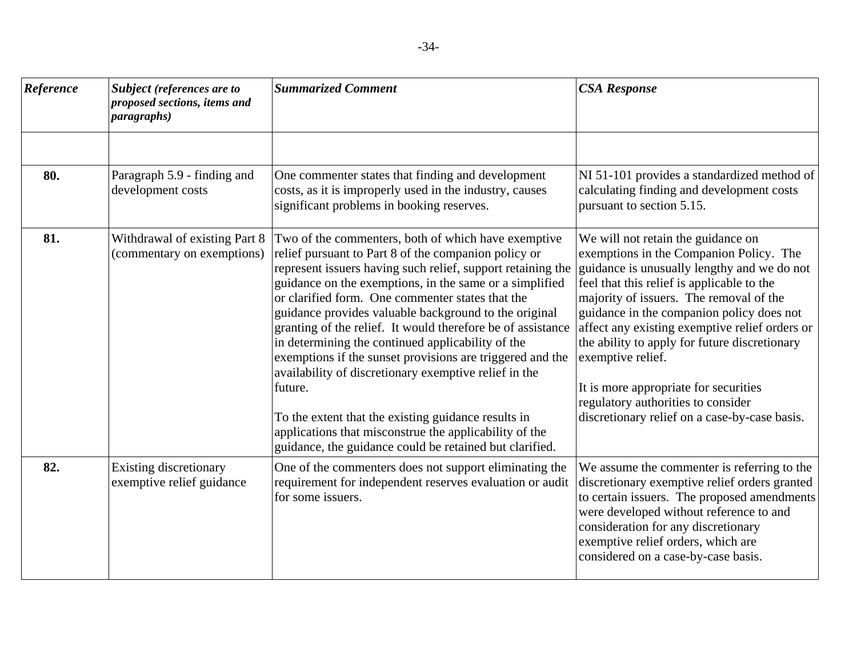| Reference | <b>Subject</b> (references are to<br>proposed sections, items and<br><i>paragraphs</i> ) | <b>Summarized Comment</b>                                                                                                                                                                                                                                                                                                                                                                                                                                                                                                                                                                                                                                                                                                                                                           | <b>CSA Response</b>                                                                                                                                                                                                                                                                                                                                                                                                                                                                                                        |
|-----------|------------------------------------------------------------------------------------------|-------------------------------------------------------------------------------------------------------------------------------------------------------------------------------------------------------------------------------------------------------------------------------------------------------------------------------------------------------------------------------------------------------------------------------------------------------------------------------------------------------------------------------------------------------------------------------------------------------------------------------------------------------------------------------------------------------------------------------------------------------------------------------------|----------------------------------------------------------------------------------------------------------------------------------------------------------------------------------------------------------------------------------------------------------------------------------------------------------------------------------------------------------------------------------------------------------------------------------------------------------------------------------------------------------------------------|
|           |                                                                                          |                                                                                                                                                                                                                                                                                                                                                                                                                                                                                                                                                                                                                                                                                                                                                                                     |                                                                                                                                                                                                                                                                                                                                                                                                                                                                                                                            |
| 80.       | Paragraph 5.9 - finding and<br>development costs                                         | One commenter states that finding and development<br>costs, as it is improperly used in the industry, causes<br>significant problems in booking reserves.                                                                                                                                                                                                                                                                                                                                                                                                                                                                                                                                                                                                                           | NI 51-101 provides a standardized method of<br>calculating finding and development costs<br>pursuant to section 5.15.                                                                                                                                                                                                                                                                                                                                                                                                      |
| 81.       | Withdrawal of existing Part 8<br>(commentary on exemptions)                              | Two of the commenters, both of which have exemptive<br>relief pursuant to Part 8 of the companion policy or<br>represent issuers having such relief, support retaining the<br>guidance on the exemptions, in the same or a simplified<br>or clarified form. One commenter states that the<br>guidance provides valuable background to the original<br>granting of the relief. It would therefore be of assistance<br>in determining the continued applicability of the<br>exemptions if the sunset provisions are triggered and the<br>availability of discretionary exemptive relief in the<br>future.<br>To the extent that the existing guidance results in<br>applications that misconstrue the applicability of the<br>guidance, the guidance could be retained but clarified. | We will not retain the guidance on<br>exemptions in the Companion Policy. The<br>guidance is unusually lengthy and we do not<br>feel that this relief is applicable to the<br>majority of issuers. The removal of the<br>guidance in the companion policy does not<br>affect any existing exemptive relief orders or<br>the ability to apply for future discretionary<br>exemptive relief.<br>It is more appropriate for securities<br>regulatory authorities to consider<br>discretionary relief on a case-by-case basis. |
| 82.       | Existing discretionary<br>exemptive relief guidance                                      | One of the commenters does not support eliminating the<br>requirement for independent reserves evaluation or audit<br>for some issuers.                                                                                                                                                                                                                                                                                                                                                                                                                                                                                                                                                                                                                                             | We assume the commenter is referring to the<br>discretionary exemptive relief orders granted<br>to certain issuers. The proposed amendments<br>were developed without reference to and<br>consideration for any discretionary<br>exemptive relief orders, which are<br>considered on a case-by-case basis.                                                                                                                                                                                                                 |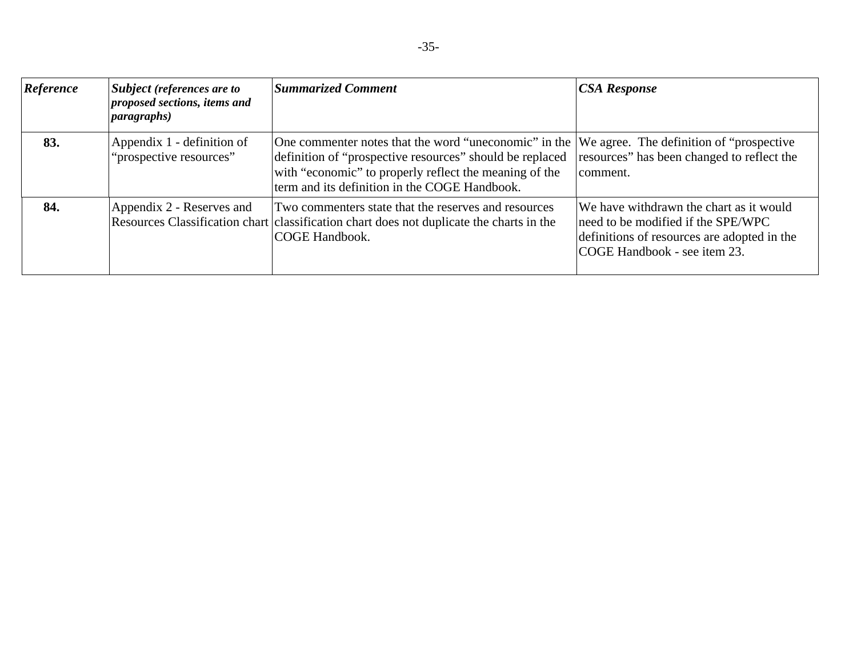| Reference | <i>Subject (references are to</i><br>proposed sections, items and<br>paragnhs) | <b>Summarized Comment</b>                                                                                                                                                                                                                                              | <b>CSA Response</b>                                                                                                                                          |
|-----------|--------------------------------------------------------------------------------|------------------------------------------------------------------------------------------------------------------------------------------------------------------------------------------------------------------------------------------------------------------------|--------------------------------------------------------------------------------------------------------------------------------------------------------------|
| 83.       | Appendix 1 - definition of<br>"prospective resources"                          | One commenter notes that the word "uneconomic" in the We agree. The definition of "prospective"<br>definition of "prospective resources" should be replaced<br>with "economic" to properly reflect the meaning of the<br>term and its definition in the COGE Handbook. | resources" has been changed to reflect the<br>comment.                                                                                                       |
| 84.       | Appendix 2 - Reserves and                                                      | Two commenters state that the reserves and resources<br>Resources Classification chart classification chart does not duplicate the charts in the<br>COGE Handbook.                                                                                                     | We have withdrawn the chart as it would<br>need to be modified if the SPE/WPC<br>definitions of resources are adopted in the<br>COGE Handbook - see item 23. |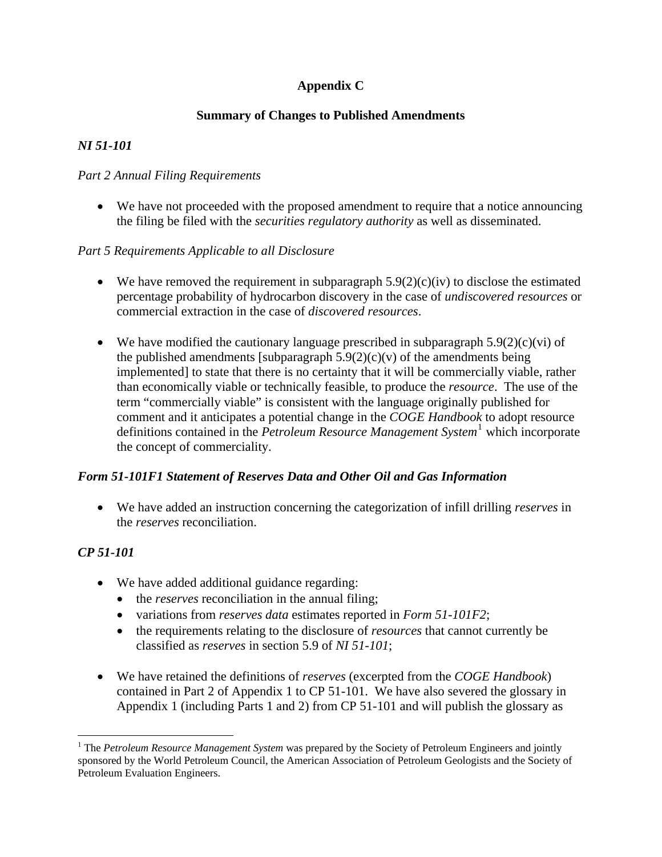## **Appendix C**

## **Summary of Changes to Published Amendments**

## <span id="page-40-0"></span>*NI 51-101*

## *Part 2 Annual Filing Requirements*

• We have not proceeded with the proposed amendment to require that a notice announcing the filing be filed with the *securities regulatory authority* as well as disseminated.

## *Part 5 Requirements Applicable to all Disclosure*

- We have removed the requirement in subparagraph  $5.9(2)(c)(iv)$  to disclose the estimated percentage probability of hydrocarbon discovery in the case of *undiscovered resources* or commercial extraction in the case of *discovered resources*.
- We have modified the cautionary language prescribed in subparagraph  $5.9(2)(c)(vi)$  of the published amendments [subparagraph  $5.9(2)(c)(v)$  of the amendments being implemented] to state that there is no certainty that it will be commercially viable, rather than economically viable or technically feasible, to produce the *resource*. The use of the term "commercially viable" is consistent with the language originally published for comment and it anticipates a potential change in the *COGE Handbook* to adopt resource definitions contained in the *Petroleum Resource Management System*[1](#page-40-0) which incorporate the concept of commerciality.

## *Form 51-101F1 Statement of Reserves Data and Other Oil and Gas Information*

• We have added an instruction concerning the categorization of infill drilling *reserves* in the *reserves* reconciliation.

## *CP 51-101*

 $\overline{a}$ 

- We have added additional guidance regarding:
	- the *reserves* reconciliation in the annual filing;
	- variations from *reserves data* estimates reported in *Form 51-101F2*;
	- the requirements relating to the disclosure of *resources* that cannot currently be classified as *reserves* in section 5.9 of *NI 51-101*;
- We have retained the definitions of *reserves* (excerpted from the *COGE Handbook*) contained in Part 2 of Appendix 1 to CP 51-101. We have also severed the glossary in Appendix 1 (including Parts 1 and 2) from CP 51-101 and will publish the glossary as

<sup>&</sup>lt;sup>1</sup> The *Petroleum Resource Management System* was prepared by the Society of Petroleum Engineers and jointly sponsored by the World Petroleum Council, the American Association of Petroleum Geologists and the Society of Petroleum Evaluation Engineers.